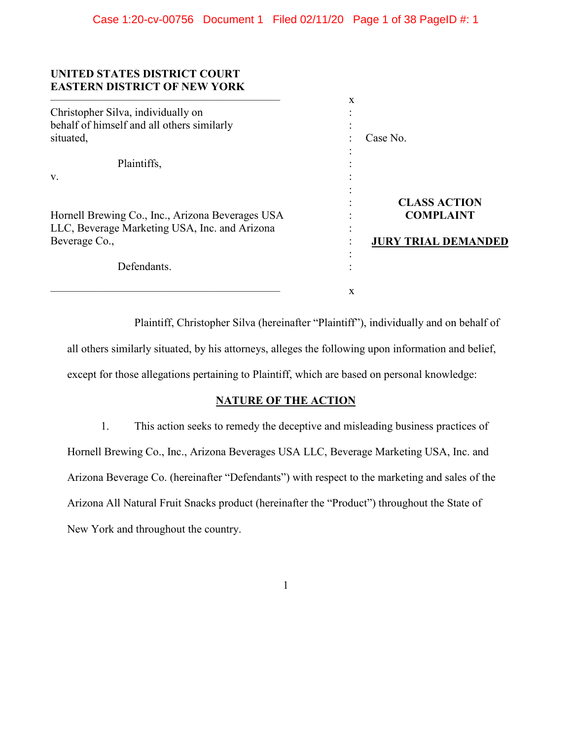## **UNITED STATES DISTRICT COURT EASTERN DISTRICT OF NEW YORK**

|                                                                                                                    | X                                                                     |
|--------------------------------------------------------------------------------------------------------------------|-----------------------------------------------------------------------|
| Christopher Silva, individually on<br>behalf of himself and all others similarly<br>situated,                      | Case No.                                                              |
| Plaintiffs,                                                                                                        |                                                                       |
| V.                                                                                                                 |                                                                       |
| Hornell Brewing Co., Inc., Arizona Beverages USA<br>LLC, Beverage Marketing USA, Inc. and Arizona<br>Beverage Co., | <b>CLASS ACTION</b><br><b>COMPLAINT</b><br><b>JURY TRIAL DEMANDED</b> |
| Defendants.                                                                                                        |                                                                       |
|                                                                                                                    | X                                                                     |

Plaintiff, Christopher Silva (hereinafter "Plaintiff"), individually and on behalf of all others similarly situated, by his attorneys, alleges the following upon information and belief, except for those allegations pertaining to Plaintiff, which are based on personal knowledge:

## **NATURE OF THE ACTION**

1. This action seeks to remedy the deceptive and misleading business practices of Hornell Brewing Co., Inc., Arizona Beverages USA LLC, Beverage Marketing USA, Inc. and Arizona Beverage Co. (hereinafter "Defendants") with respect to the marketing and sales of the Arizona All Natural Fruit Snacks product (hereinafter the "Product") throughout the State of New York and throughout the country.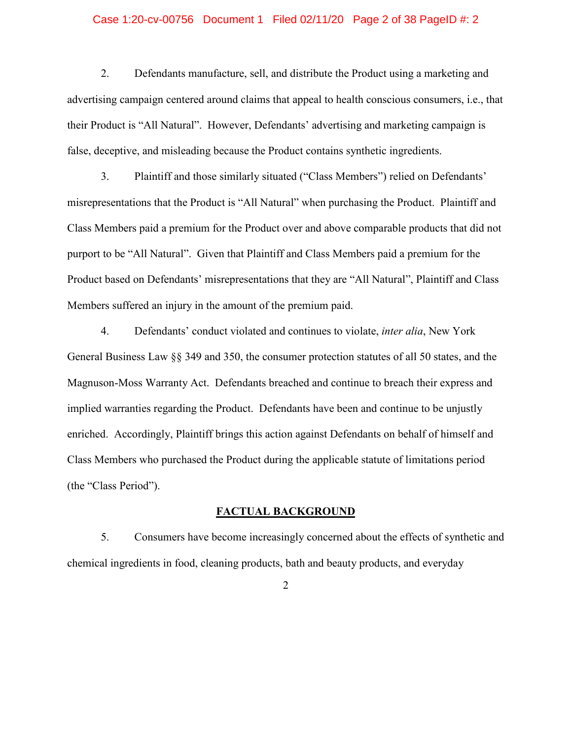## Case 1:20-cv-00756 Document 1 Filed 02/11/20 Page 2 of 38 PageID #: 2

2. Defendants manufacture, sell, and distribute the Product using a marketing and advertising campaign centered around claims that appeal to health conscious consumers, i.e., that their Product is "All Natural". However, Defendants' advertising and marketing campaign is false, deceptive, and misleading because the Product contains synthetic ingredients.

3. Plaintiff and those similarly situated ("Class Members") relied on Defendants' misrepresentations that the Product is "All Natural" when purchasing the Product. Plaintiff and Class Members paid a premium for the Product over and above comparable products that did not purport to be "All Natural". Given that Plaintiff and Class Members paid a premium for the Product based on Defendants' misrepresentations that they are "All Natural", Plaintiff and Class Members suffered an injury in the amount of the premium paid.

4. Defendants' conduct violated and continues to violate, *inter alia*, New York General Business Law §§ 349 and 350, the consumer protection statutes of all 50 states, and the Magnuson-Moss Warranty Act. Defendants breached and continue to breach their express and implied warranties regarding the Product. Defendants have been and continue to be unjustly enriched. Accordingly, Plaintiff brings this action against Defendants on behalf of himself and Class Members who purchased the Product during the applicable statute of limitations period (the "Class Period").

## **FACTUAL BACKGROUND**

5. Consumers have become increasingly concerned about the effects of synthetic and chemical ingredients in food, cleaning products, bath and beauty products, and everyday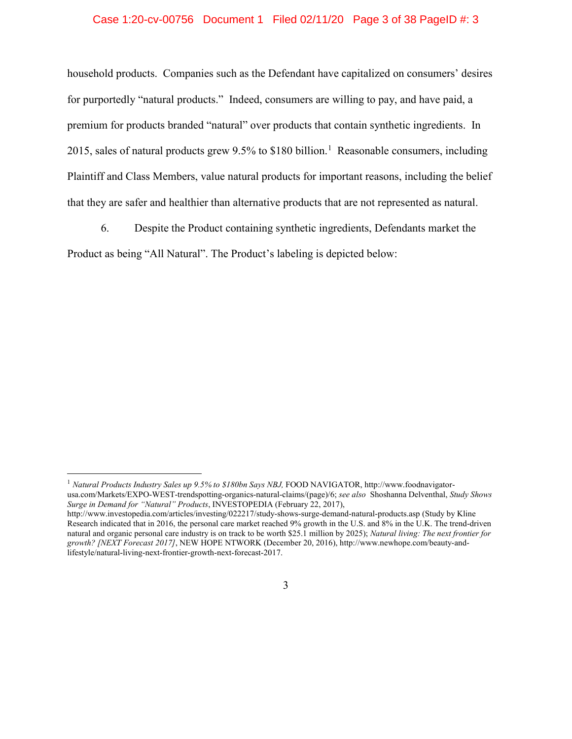## Case 1:20-cv-00756 Document 1 Filed 02/11/20 Page 3 of 38 PageID #: 3

household products. Companies such as the Defendant have capitalized on consumers' desires for purportedly "natural products." Indeed, consumers are willing to pay, and have paid, a premium for products branded "natural" over products that contain synthetic ingredients. In 20[1](#page-2-0)5, sales of natural products grew 9.5% to \$180 billion.<sup>1</sup> Reasonable consumers, including Plaintiff and Class Members, value natural products for important reasons, including the belief that they are safer and healthier than alternative products that are not represented as natural.

6. Despite the Product containing synthetic ingredients, Defendants market the Product as being "All Natural". The Product's labeling is depicted below:

<span id="page-2-0"></span><sup>&</sup>lt;sup>1</sup> Natural Products Industry Sales up 9.5% to \$180bn Says NBJ, FOOD NAVIGATOR, http://www.foodnavigatorusa.com/Markets/EXPO-WEST-trendspotting-organics-natural-claims/(page)/6; *see also* Shoshanna Delventhal, *Study Shows Surge in Demand for "Natural" Products*, INVESTOPEDIA (February 22, 2017),

http://www.investopedia.com/articles/investing/022217/study-shows-surge-demand-natural-products.asp (Study by Kline Research indicated that in 2016, the personal care market reached 9% growth in the U.S. and 8% in the U.K. The trend-driven natural and organic personal care industry is on track to be worth \$25.1 million by 2025); *Natural living: The next frontier for growth? [NEXT Forecast 2017]*, NEW HOPE NTWORK (December 20, 2016), http://www.newhope.com/beauty-andlifestyle/natural-living-next-frontier-growth-next-forecast-2017.

<sup>3</sup>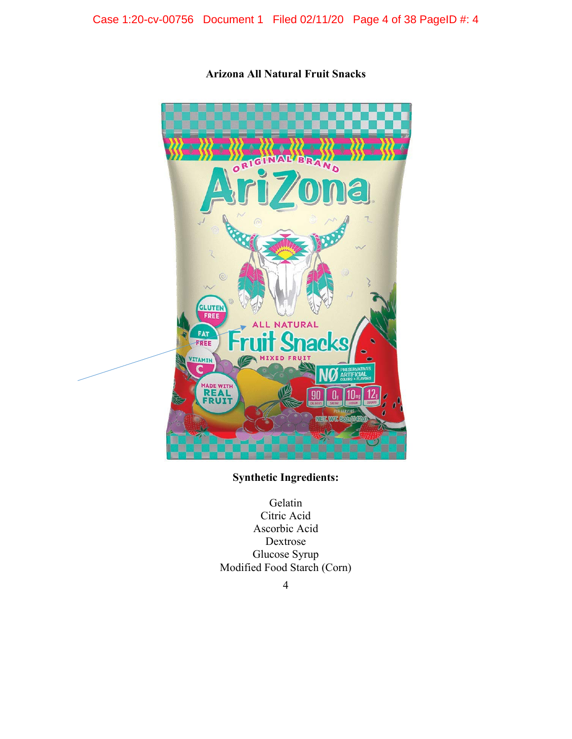Case 1:20-cv-00756 Document 1 Filed 02/11/20 Page 4 of 38 PageID #: 4



**Arizona All Natural Fruit Snacks**

## **Synthetic Ingredients:**

Gelatin Citric Acid Ascorbic Acid Dextrose Glucose Syrup Modified Food Starch (Corn)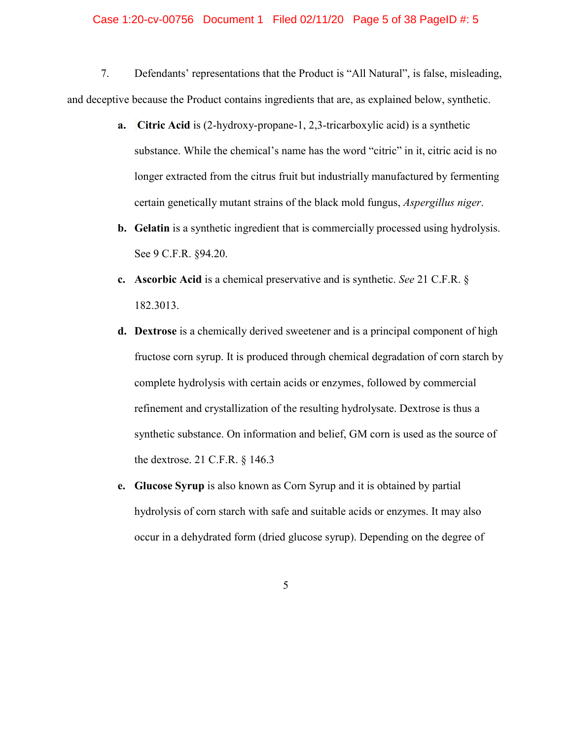## Case 1:20-cv-00756 Document 1 Filed 02/11/20 Page 5 of 38 PageID #: 5

7. Defendants' representations that the Product is "All Natural", is false, misleading, and deceptive because the Product contains ingredients that are, as explained below, synthetic.

- **a. Citric Acid** is (2-hydroxy-propane-1, 2,3-tricarboxylic acid) is a synthetic substance. While the chemical's name has the word "citric" in it, citric acid is no longer extracted from the citrus fruit but industrially manufactured by fermenting certain genetically mutant strains of the black mold fungus, *Aspergillus niger*.
- **b. Gelatin** is a synthetic ingredient that is commercially processed using hydrolysis. See 9 C.F.R. §94.20.
- **c. Ascorbic Acid** is a chemical preservative and is synthetic. *See* 21 C.F.R. § 182.3013.
- **d. Dextrose** is a chemically derived sweetener and is a principal component of high fructose corn syrup. It is produced through chemical degradation of corn starch by complete hydrolysis with certain acids or enzymes, followed by commercial refinement and crystallization of the resulting hydrolysate. Dextrose is thus a synthetic substance. On information and belief, GM corn is used as the source of the dextrose. 21 C.F.R. § 146.3
- **e. Glucose Syrup** is also known as Corn Syrup and it is obtained by partial hydrolysis of corn starch with safe and suitable acids or enzymes. It may also occur in a dehydrated form (dried glucose syrup). Depending on the degree of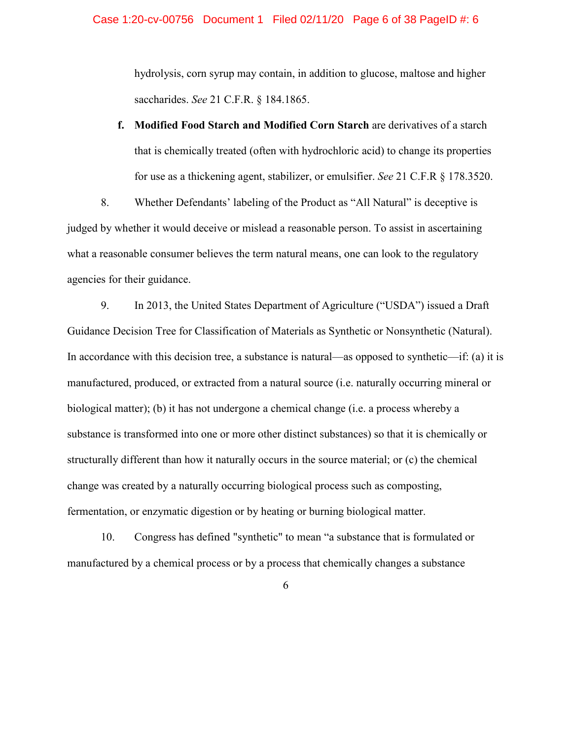hydrolysis, corn syrup may contain, in addition to glucose, maltose and higher saccharides. *See* 21 C.F.R. § 184.1865.

**f. Modified Food Starch and Modified Corn Starch** are derivatives of a starch that is chemically treated (often with hydrochloric acid) to change its properties for use as a thickening agent, stabilizer, or emulsifier. *See* 21 C.F.R § 178.3520.

8. Whether Defendants' labeling of the Product as "All Natural" is deceptive is judged by whether it would deceive or mislead a reasonable person. To assist in ascertaining what a reasonable consumer believes the term natural means, one can look to the regulatory agencies for their guidance.

9. In 2013, the United States Department of Agriculture ("USDA") issued a Draft Guidance Decision Tree for Classification of Materials as Synthetic or Nonsynthetic (Natural). In accordance with this decision tree, a substance is natural—as opposed to synthetic—if: (a) it is manufactured, produced, or extracted from a natural source (i.e. naturally occurring mineral or biological matter); (b) it has not undergone a chemical change (i.e. a process whereby a substance is transformed into one or more other distinct substances) so that it is chemically or structurally different than how it naturally occurs in the source material; or (c) the chemical change was created by a naturally occurring biological process such as composting, fermentation, or enzymatic digestion or by heating or burning biological matter.

10. Congress has defined "synthetic" to mean "a substance that is formulated or manufactured by a chemical process or by a process that chemically changes a substance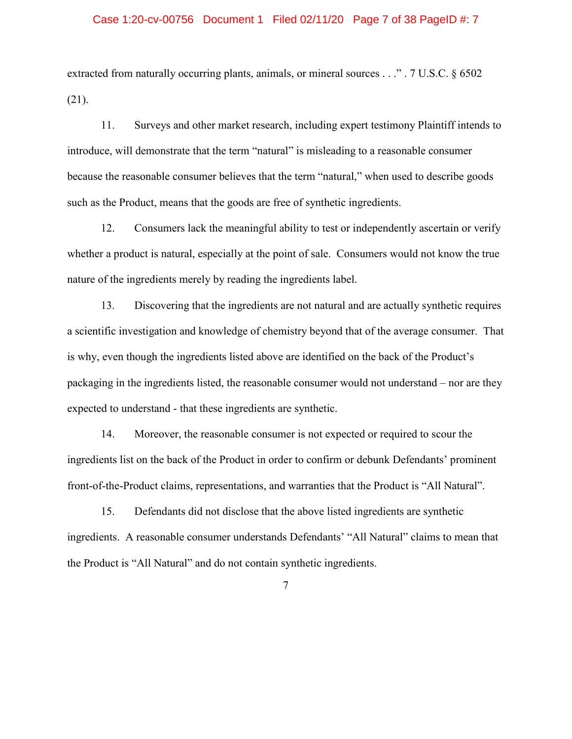## Case 1:20-cv-00756 Document 1 Filed 02/11/20 Page 7 of 38 PageID #: 7

extracted from naturally occurring plants, animals, or mineral sources . . ." . 7 U.S.C. § 6502 (21).

11. Surveys and other market research, including expert testimony Plaintiff intends to introduce, will demonstrate that the term "natural" is misleading to a reasonable consumer because the reasonable consumer believes that the term "natural," when used to describe goods such as the Product, means that the goods are free of synthetic ingredients.

12. Consumers lack the meaningful ability to test or independently ascertain or verify whether a product is natural, especially at the point of sale. Consumers would not know the true nature of the ingredients merely by reading the ingredients label.

13. Discovering that the ingredients are not natural and are actually synthetic requires a scientific investigation and knowledge of chemistry beyond that of the average consumer. That is why, even though the ingredients listed above are identified on the back of the Product's packaging in the ingredients listed, the reasonable consumer would not understand – nor are they expected to understand - that these ingredients are synthetic.

14. Moreover, the reasonable consumer is not expected or required to scour the ingredients list on the back of the Product in order to confirm or debunk Defendants' prominent front-of-the-Product claims, representations, and warranties that the Product is "All Natural".

15. Defendants did not disclose that the above listed ingredients are synthetic ingredients. A reasonable consumer understands Defendants' "All Natural" claims to mean that the Product is "All Natural" and do not contain synthetic ingredients.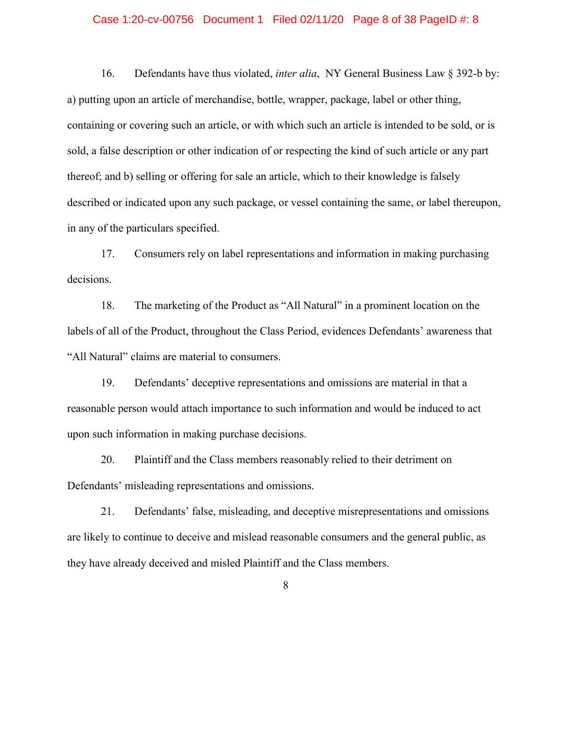## Case 1:20-cv-00756 Document 1 Filed 02/11/20 Page 8 of 38 PageID #: 8

16. Defendants have thus violated, *inter alia*, NY General Business Law § 392-b by: a) putting upon an article of merchandise, bottle, wrapper, package, label or other thing, containing or covering such an article, or with which such an article is intended to be sold, or is sold, a false description or other indication of or respecting the kind of such article or any part thereof; and b) selling or offering for sale an article, which to their knowledge is falsely described or indicated upon any such package, or vessel containing the same, or label thereupon, in any of the particulars specified.

17. Consumers rely on label representations and information in making purchasing decisions.

18. The marketing of the Product as "All Natural" in a prominent location on the labels of all of the Product, throughout the Class Period, evidences Defendants' awareness that "All Natural" claims are material to consumers.

19. Defendants' deceptive representations and omissions are material in that a reasonable person would attach importance to such information and would be induced to act upon such information in making purchase decisions.

20. Plaintiff and the Class members reasonably relied to their detriment on Defendants' misleading representations and omissions.

21. Defendants' false, misleading, and deceptive misrepresentations and omissions are likely to continue to deceive and mislead reasonable consumers and the general public, as they have already deceived and misled Plaintiff and the Class members.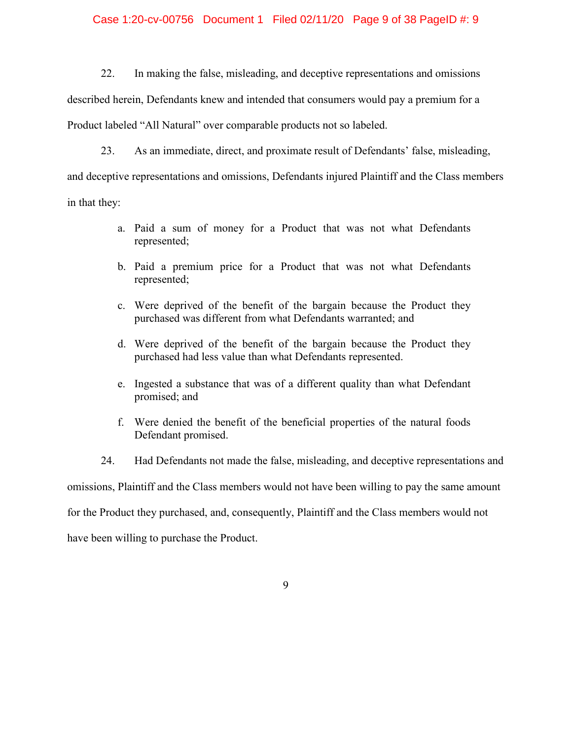## Case 1:20-cv-00756 Document 1 Filed 02/11/20 Page 9 of 38 PageID #: 9

22. In making the false, misleading, and deceptive representations and omissions

described herein, Defendants knew and intended that consumers would pay a premium for a

Product labeled "All Natural" over comparable products not so labeled.

23. As an immediate, direct, and proximate result of Defendants' false, misleading,

and deceptive representations and omissions, Defendants injured Plaintiff and the Class members

in that they:

- a. Paid a sum of money for a Product that was not what Defendants represented;
- b. Paid a premium price for a Product that was not what Defendants represented;
- c. Were deprived of the benefit of the bargain because the Product they purchased was different from what Defendants warranted; and
- d. Were deprived of the benefit of the bargain because the Product they purchased had less value than what Defendants represented.
- e. Ingested a substance that was of a different quality than what Defendant promised; and
- f. Were denied the benefit of the beneficial properties of the natural foods Defendant promised.

24. Had Defendants not made the false, misleading, and deceptive representations and omissions, Plaintiff and the Class members would not have been willing to pay the same amount for the Product they purchased, and, consequently, Plaintiff and the Class members would not have been willing to purchase the Product.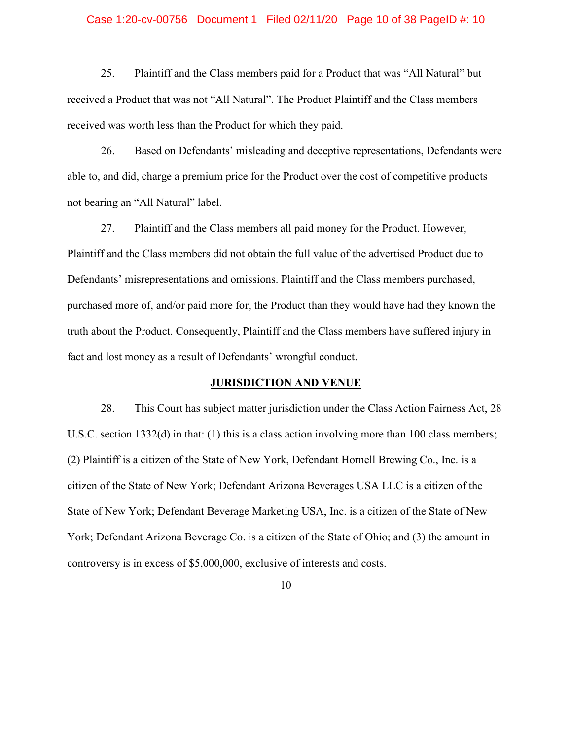#### Case 1:20-cv-00756 Document 1 Filed 02/11/20 Page 10 of 38 PageID #: 10

25. Plaintiff and the Class members paid for a Product that was "All Natural" but received a Product that was not "All Natural". The Product Plaintiff and the Class members received was worth less than the Product for which they paid.

26. Based on Defendants' misleading and deceptive representations, Defendants were able to, and did, charge a premium price for the Product over the cost of competitive products not bearing an "All Natural" label.

27. Plaintiff and the Class members all paid money for the Product. However, Plaintiff and the Class members did not obtain the full value of the advertised Product due to Defendants' misrepresentations and omissions. Plaintiff and the Class members purchased, purchased more of, and/or paid more for, the Product than they would have had they known the truth about the Product. Consequently, Plaintiff and the Class members have suffered injury in fact and lost money as a result of Defendants' wrongful conduct.

## **JURISDICTION AND VENUE**

28. This Court has subject matter jurisdiction under the Class Action Fairness Act, 28 U.S.C. section 1332(d) in that: (1) this is a class action involving more than 100 class members; (2) Plaintiff is a citizen of the State of New York, Defendant Hornell Brewing Co., Inc. is a citizen of the State of New York; Defendant Arizona Beverages USA LLC is a citizen of the State of New York; Defendant Beverage Marketing USA, Inc. is a citizen of the State of New York; Defendant Arizona Beverage Co. is a citizen of the State of Ohio; and (3) the amount in controversy is in excess of \$5,000,000, exclusive of interests and costs.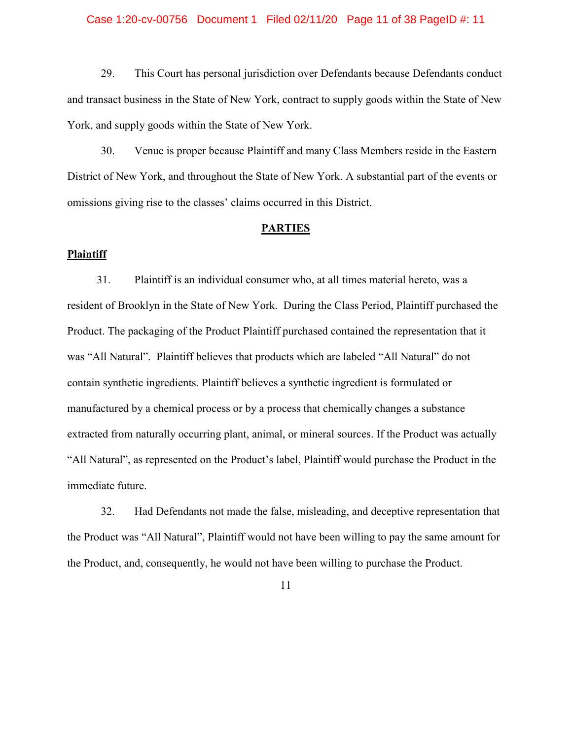#### Case 1:20-cv-00756 Document 1 Filed 02/11/20 Page 11 of 38 PageID #: 11

29. This Court has personal jurisdiction over Defendants because Defendants conduct and transact business in the State of New York, contract to supply goods within the State of New York, and supply goods within the State of New York.

30. Venue is proper because Plaintiff and many Class Members reside in the Eastern District of New York, and throughout the State of New York. A substantial part of the events or omissions giving rise to the classes' claims occurred in this District.

## **PARTIES**

## **Plaintiff**

31. Plaintiff is an individual consumer who, at all times material hereto, was a resident of Brooklyn in the State of New York. During the Class Period, Plaintiff purchased the Product. The packaging of the Product Plaintiff purchased contained the representation that it was "All Natural". Plaintiff believes that products which are labeled "All Natural" do not contain synthetic ingredients. Plaintiff believes a synthetic ingredient is formulated or manufactured by a chemical process or by a process that chemically changes a substance extracted from naturally occurring plant, animal, or mineral sources. If the Product was actually "All Natural", as represented on the Product's label, Plaintiff would purchase the Product in the immediate future.

32. Had Defendants not made the false, misleading, and deceptive representation that the Product was "All Natural", Plaintiff would not have been willing to pay the same amount for the Product, and, consequently, he would not have been willing to purchase the Product.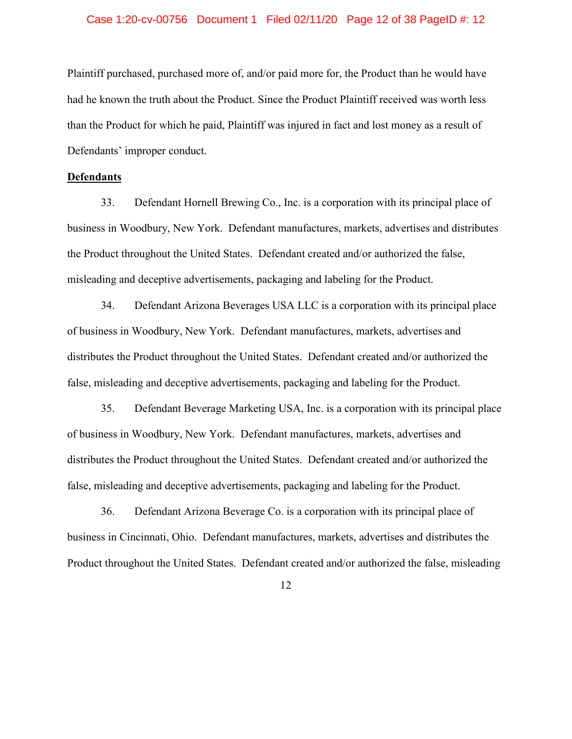## Case 1:20-cv-00756 Document 1 Filed 02/11/20 Page 12 of 38 PageID #: 12

Plaintiff purchased, purchased more of, and/or paid more for, the Product than he would have had he known the truth about the Product. Since the Product Plaintiff received was worth less than the Product for which he paid, Plaintiff was injured in fact and lost money as a result of Defendants' improper conduct.

## **Defendants**

33. Defendant Hornell Brewing Co., Inc. is a corporation with its principal place of business in Woodbury, New York. Defendant manufactures, markets, advertises and distributes the Product throughout the United States. Defendant created and/or authorized the false, misleading and deceptive advertisements, packaging and labeling for the Product.

34. Defendant Arizona Beverages USA LLC is a corporation with its principal place of business in Woodbury, New York. Defendant manufactures, markets, advertises and distributes the Product throughout the United States. Defendant created and/or authorized the false, misleading and deceptive advertisements, packaging and labeling for the Product.

35. Defendant Beverage Marketing USA, Inc. is a corporation with its principal place of business in Woodbury, New York. Defendant manufactures, markets, advertises and distributes the Product throughout the United States. Defendant created and/or authorized the false, misleading and deceptive advertisements, packaging and labeling for the Product.

36. Defendant Arizona Beverage Co. is a corporation with its principal place of business in Cincinnati, Ohio. Defendant manufactures, markets, advertises and distributes the Product throughout the United States. Defendant created and/or authorized the false, misleading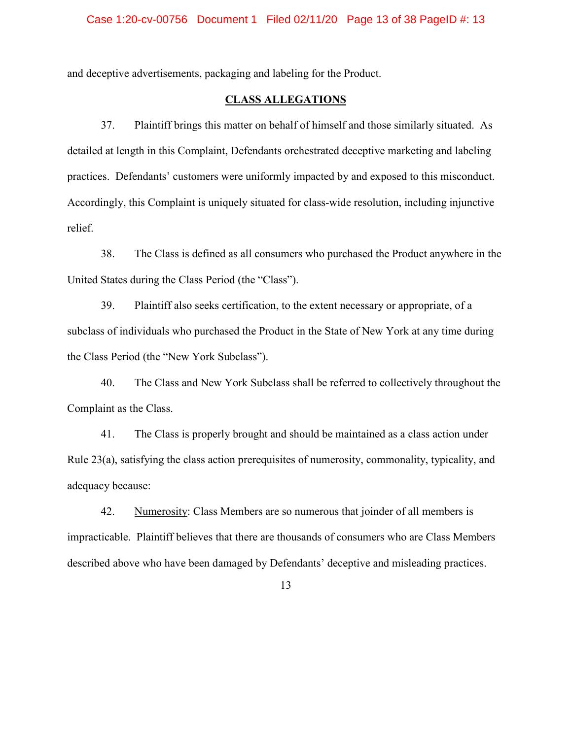and deceptive advertisements, packaging and labeling for the Product.

## **CLASS ALLEGATIONS**

37. Plaintiff brings this matter on behalf of himself and those similarly situated. As detailed at length in this Complaint, Defendants orchestrated deceptive marketing and labeling practices. Defendants' customers were uniformly impacted by and exposed to this misconduct. Accordingly, this Complaint is uniquely situated for class-wide resolution, including injunctive relief.

38. The Class is defined as all consumers who purchased the Product anywhere in the United States during the Class Period (the "Class").

39. Plaintiff also seeks certification, to the extent necessary or appropriate, of a subclass of individuals who purchased the Product in the State of New York at any time during the Class Period (the "New York Subclass").

40. The Class and New York Subclass shall be referred to collectively throughout the Complaint as the Class.

41. The Class is properly brought and should be maintained as a class action under Rule 23(a), satisfying the class action prerequisites of numerosity, commonality, typicality, and adequacy because:

42. Numerosity: Class Members are so numerous that joinder of all members is impracticable. Plaintiff believes that there are thousands of consumers who are Class Members described above who have been damaged by Defendants' deceptive and misleading practices.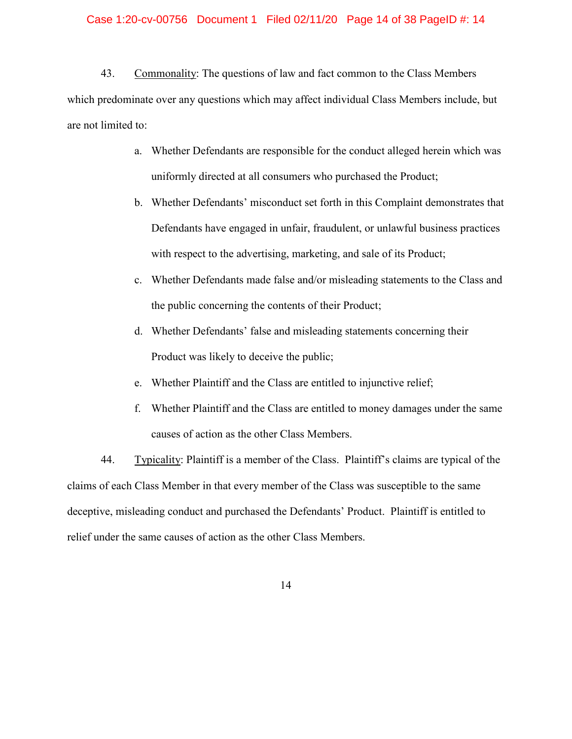## Case 1:20-cv-00756 Document 1 Filed 02/11/20 Page 14 of 38 PageID #: 14

43. Commonality: The questions of law and fact common to the Class Members which predominate over any questions which may affect individual Class Members include, but are not limited to:

- a. Whether Defendants are responsible for the conduct alleged herein which was uniformly directed at all consumers who purchased the Product;
- b. Whether Defendants' misconduct set forth in this Complaint demonstrates that Defendants have engaged in unfair, fraudulent, or unlawful business practices with respect to the advertising, marketing, and sale of its Product;
- c. Whether Defendants made false and/or misleading statements to the Class and the public concerning the contents of their Product;
- d. Whether Defendants' false and misleading statements concerning their Product was likely to deceive the public;
- e. Whether Plaintiff and the Class are entitled to injunctive relief;
- f. Whether Plaintiff and the Class are entitled to money damages under the same causes of action as the other Class Members.

44. Typicality: Plaintiff is a member of the Class. Plaintiff's claims are typical of the claims of each Class Member in that every member of the Class was susceptible to the same deceptive, misleading conduct and purchased the Defendants' Product. Plaintiff is entitled to relief under the same causes of action as the other Class Members.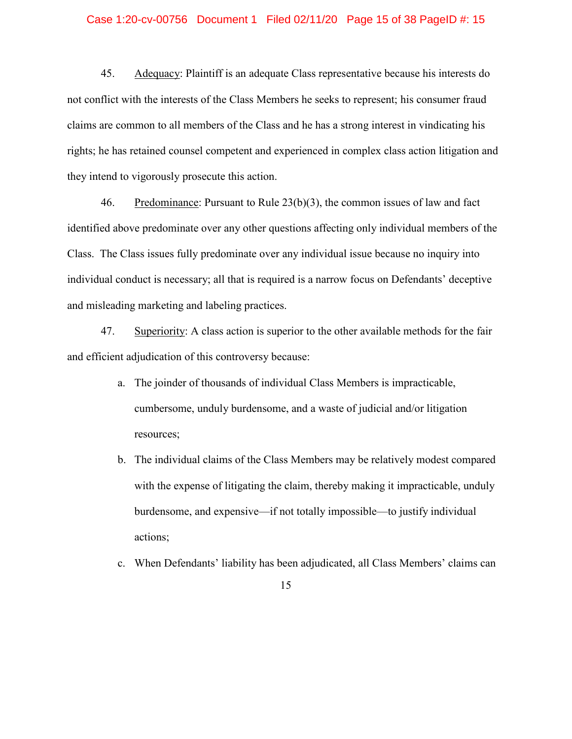## Case 1:20-cv-00756 Document 1 Filed 02/11/20 Page 15 of 38 PageID #: 15

45. Adequacy: Plaintiff is an adequate Class representative because his interests do not conflict with the interests of the Class Members he seeks to represent; his consumer fraud claims are common to all members of the Class and he has a strong interest in vindicating his rights; he has retained counsel competent and experienced in complex class action litigation and they intend to vigorously prosecute this action.

46. Predominance: Pursuant to Rule 23(b)(3), the common issues of law and fact identified above predominate over any other questions affecting only individual members of the Class. The Class issues fully predominate over any individual issue because no inquiry into individual conduct is necessary; all that is required is a narrow focus on Defendants' deceptive and misleading marketing and labeling practices.

47. Superiority: A class action is superior to the other available methods for the fair and efficient adjudication of this controversy because:

- a. The joinder of thousands of individual Class Members is impracticable, cumbersome, unduly burdensome, and a waste of judicial and/or litigation resources;
- b. The individual claims of the Class Members may be relatively modest compared with the expense of litigating the claim, thereby making it impracticable, unduly burdensome, and expensive—if not totally impossible—to justify individual actions;
- c. When Defendants' liability has been adjudicated, all Class Members' claims can

<sup>15</sup>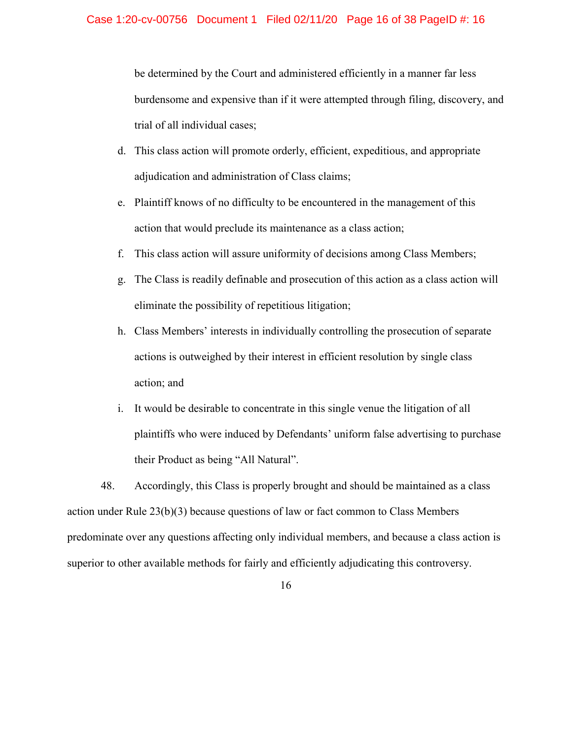be determined by the Court and administered efficiently in a manner far less burdensome and expensive than if it were attempted through filing, discovery, and trial of all individual cases;

- d. This class action will promote orderly, efficient, expeditious, and appropriate adjudication and administration of Class claims;
- e. Plaintiff knows of no difficulty to be encountered in the management of this action that would preclude its maintenance as a class action;
- f. This class action will assure uniformity of decisions among Class Members;
- g. The Class is readily definable and prosecution of this action as a class action will eliminate the possibility of repetitious litigation;
- h. Class Members' interests in individually controlling the prosecution of separate actions is outweighed by their interest in efficient resolution by single class action; and
- i. It would be desirable to concentrate in this single venue the litigation of all plaintiffs who were induced by Defendants' uniform false advertising to purchase their Product as being "All Natural".

48. Accordingly, this Class is properly brought and should be maintained as a class action under Rule 23(b)(3) because questions of law or fact common to Class Members predominate over any questions affecting only individual members, and because a class action is superior to other available methods for fairly and efficiently adjudicating this controversy.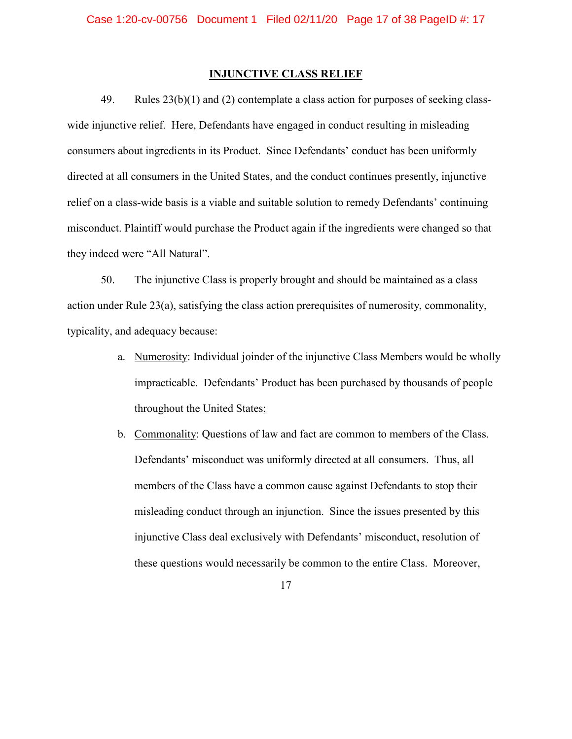## **INJUNCTIVE CLASS RELIEF**

49. Rules 23(b)(1) and (2) contemplate a class action for purposes of seeking classwide injunctive relief. Here, Defendants have engaged in conduct resulting in misleading consumers about ingredients in its Product. Since Defendants' conduct has been uniformly directed at all consumers in the United States, and the conduct continues presently, injunctive relief on a class-wide basis is a viable and suitable solution to remedy Defendants' continuing misconduct. Plaintiff would purchase the Product again if the ingredients were changed so that they indeed were "All Natural".

50. The injunctive Class is properly brought and should be maintained as a class action under Rule 23(a), satisfying the class action prerequisites of numerosity, commonality, typicality, and adequacy because:

- a. Numerosity: Individual joinder of the injunctive Class Members would be wholly impracticable. Defendants' Product has been purchased by thousands of people throughout the United States;
- b. Commonality: Questions of law and fact are common to members of the Class. Defendants' misconduct was uniformly directed at all consumers. Thus, all members of the Class have a common cause against Defendants to stop their misleading conduct through an injunction. Since the issues presented by this injunctive Class deal exclusively with Defendants' misconduct, resolution of these questions would necessarily be common to the entire Class. Moreover,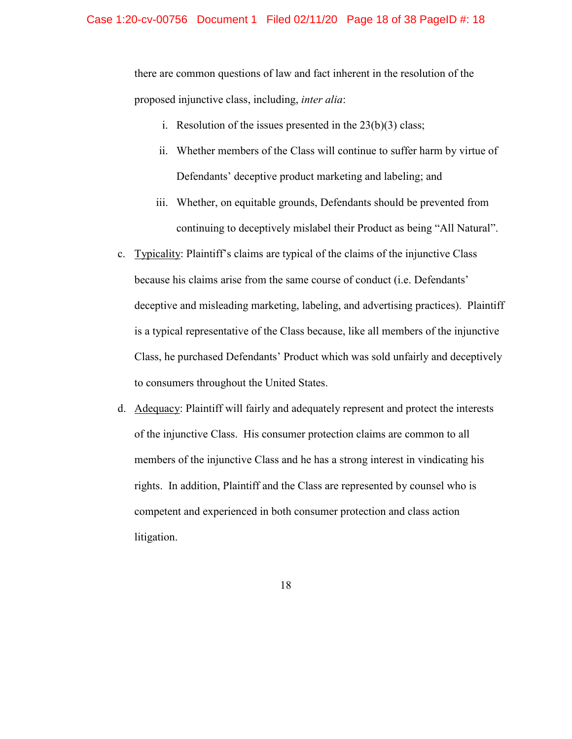#### Case 1:20-cv-00756 Document 1 Filed 02/11/20 Page 18 of 38 PageID #: 18

there are common questions of law and fact inherent in the resolution of the proposed injunctive class, including, *inter alia*:

- i. Resolution of the issues presented in the  $23(b)(3)$  class;
- ii. Whether members of the Class will continue to suffer harm by virtue of Defendants' deceptive product marketing and labeling; and
- iii. Whether, on equitable grounds, Defendants should be prevented from continuing to deceptively mislabel their Product as being "All Natural".
- c. Typicality: Plaintiff's claims are typical of the claims of the injunctive Class because his claims arise from the same course of conduct (i.e. Defendants' deceptive and misleading marketing, labeling, and advertising practices). Plaintiff is a typical representative of the Class because, like all members of the injunctive Class, he purchased Defendants' Product which was sold unfairly and deceptively to consumers throughout the United States.
- d. Adequacy: Plaintiff will fairly and adequately represent and protect the interests of the injunctive Class. His consumer protection claims are common to all members of the injunctive Class and he has a strong interest in vindicating his rights. In addition, Plaintiff and the Class are represented by counsel who is competent and experienced in both consumer protection and class action litigation.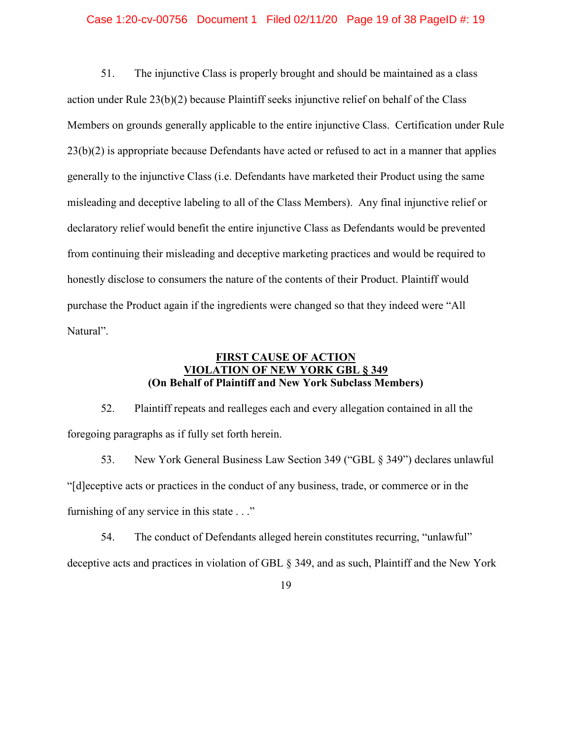## Case 1:20-cv-00756 Document 1 Filed 02/11/20 Page 19 of 38 PageID #: 19

51. The injunctive Class is properly brought and should be maintained as a class action under Rule 23(b)(2) because Plaintiff seeks injunctive relief on behalf of the Class Members on grounds generally applicable to the entire injunctive Class. Certification under Rule 23(b)(2) is appropriate because Defendants have acted or refused to act in a manner that applies generally to the injunctive Class (i.e. Defendants have marketed their Product using the same misleading and deceptive labeling to all of the Class Members). Any final injunctive relief or declaratory relief would benefit the entire injunctive Class as Defendants would be prevented from continuing their misleading and deceptive marketing practices and would be required to honestly disclose to consumers the nature of the contents of their Product. Plaintiff would purchase the Product again if the ingredients were changed so that they indeed were "All Natural".

## **FIRST CAUSE OF ACTION VIOLATION OF NEW YORK GBL § 349 (On Behalf of Plaintiff and New York Subclass Members)**

52. Plaintiff repeats and realleges each and every allegation contained in all the foregoing paragraphs as if fully set forth herein.

53. New York General Business Law Section 349 ("GBL § 349") declares unlawful "[d]eceptive acts or practices in the conduct of any business, trade, or commerce or in the furnishing of any service in this state . . ."

54. The conduct of Defendants alleged herein constitutes recurring, "unlawful" deceptive acts and practices in violation of GBL § 349, and as such, Plaintiff and the New York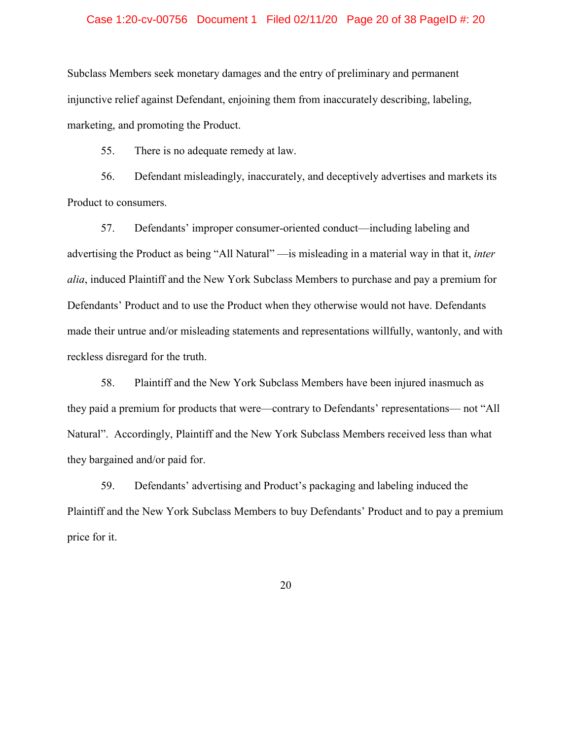#### Case 1:20-cv-00756 Document 1 Filed 02/11/20 Page 20 of 38 PageID #: 20

Subclass Members seek monetary damages and the entry of preliminary and permanent injunctive relief against Defendant, enjoining them from inaccurately describing, labeling, marketing, and promoting the Product.

55. There is no adequate remedy at law.

56. Defendant misleadingly, inaccurately, and deceptively advertises and markets its Product to consumers.

57. Defendants' improper consumer-oriented conduct—including labeling and advertising the Product as being "All Natural" —is misleading in a material way in that it, *inter alia*, induced Plaintiff and the New York Subclass Members to purchase and pay a premium for Defendants' Product and to use the Product when they otherwise would not have. Defendants made their untrue and/or misleading statements and representations willfully, wantonly, and with reckless disregard for the truth.

58. Plaintiff and the New York Subclass Members have been injured inasmuch as they paid a premium for products that were—contrary to Defendants' representations— not "All Natural". Accordingly, Plaintiff and the New York Subclass Members received less than what they bargained and/or paid for.

59. Defendants' advertising and Product's packaging and labeling induced the Plaintiff and the New York Subclass Members to buy Defendants' Product and to pay a premium price for it.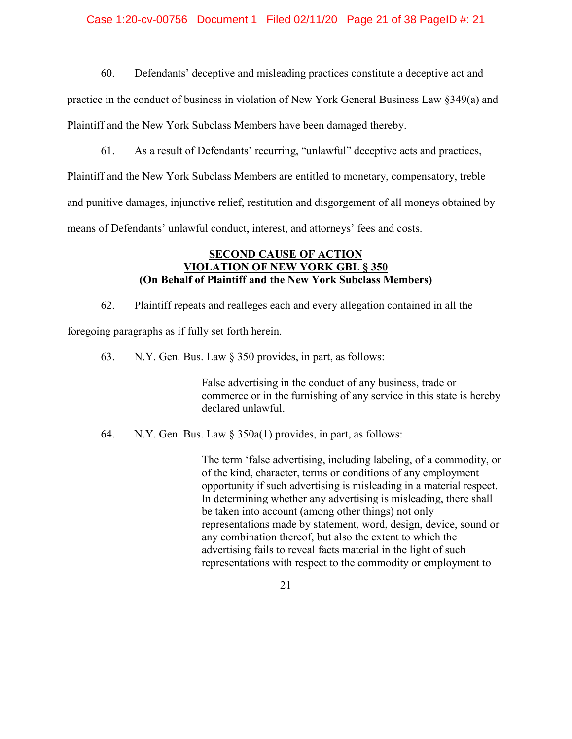## Case 1:20-cv-00756 Document 1 Filed 02/11/20 Page 21 of 38 PageID #: 21

60. Defendants' deceptive and misleading practices constitute a deceptive act and

practice in the conduct of business in violation of New York General Business Law §349(a) and Plaintiff and the New York Subclass Members have been damaged thereby.

61. As a result of Defendants' recurring, "unlawful" deceptive acts and practices,

Plaintiff and the New York Subclass Members are entitled to monetary, compensatory, treble and punitive damages, injunctive relief, restitution and disgorgement of all moneys obtained by means of Defendants' unlawful conduct, interest, and attorneys' fees and costs.

## **SECOND CAUSE OF ACTION VIOLATION OF NEW YORK GBL § 350 (On Behalf of Plaintiff and the New York Subclass Members)**

62. Plaintiff repeats and realleges each and every allegation contained in all the

foregoing paragraphs as if fully set forth herein.

63. N.Y. Gen. Bus. Law § 350 provides, in part, as follows:

False advertising in the conduct of any business, trade or commerce or in the furnishing of any service in this state is hereby declared unlawful.

64. N.Y. Gen. Bus. Law § 350a(1) provides, in part, as follows:

The term 'false advertising, including labeling, of a commodity, or of the kind, character, terms or conditions of any employment opportunity if such advertising is misleading in a material respect. In determining whether any advertising is misleading, there shall be taken into account (among other things) not only representations made by statement, word, design, device, sound or any combination thereof, but also the extent to which the advertising fails to reveal facts material in the light of such representations with respect to the commodity or employment to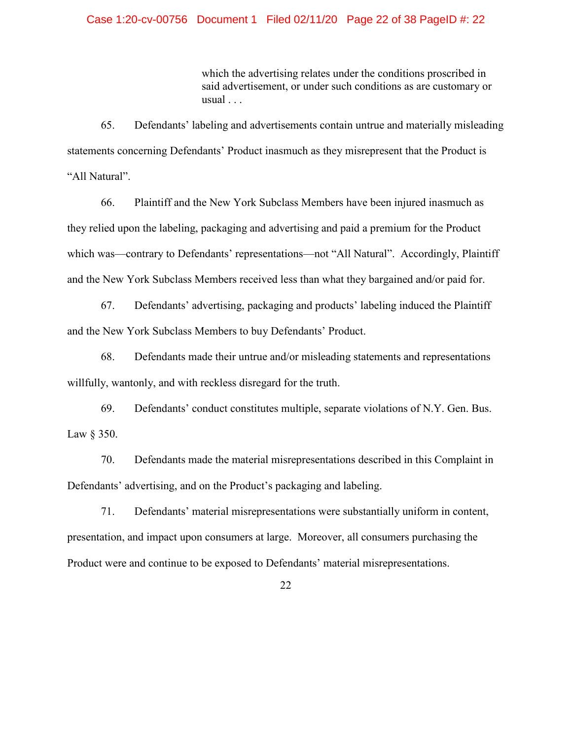## Case 1:20-cv-00756 Document 1 Filed 02/11/20 Page 22 of 38 PageID #: 22

which the advertising relates under the conditions proscribed in said advertisement, or under such conditions as are customary or usual . . .

65. Defendants' labeling and advertisements contain untrue and materially misleading statements concerning Defendants' Product inasmuch as they misrepresent that the Product is "All Natural".

66. Plaintiff and the New York Subclass Members have been injured inasmuch as they relied upon the labeling, packaging and advertising and paid a premium for the Product which was—contrary to Defendants' representations—not "All Natural". Accordingly, Plaintiff and the New York Subclass Members received less than what they bargained and/or paid for.

67. Defendants' advertising, packaging and products' labeling induced the Plaintiff and the New York Subclass Members to buy Defendants' Product.

68. Defendants made their untrue and/or misleading statements and representations willfully, wantonly, and with reckless disregard for the truth.

69. Defendants' conduct constitutes multiple, separate violations of N.Y. Gen. Bus. Law § 350.

70. Defendants made the material misrepresentations described in this Complaint in Defendants' advertising, and on the Product's packaging and labeling.

71. Defendants' material misrepresentations were substantially uniform in content, presentation, and impact upon consumers at large. Moreover, all consumers purchasing the Product were and continue to be exposed to Defendants' material misrepresentations.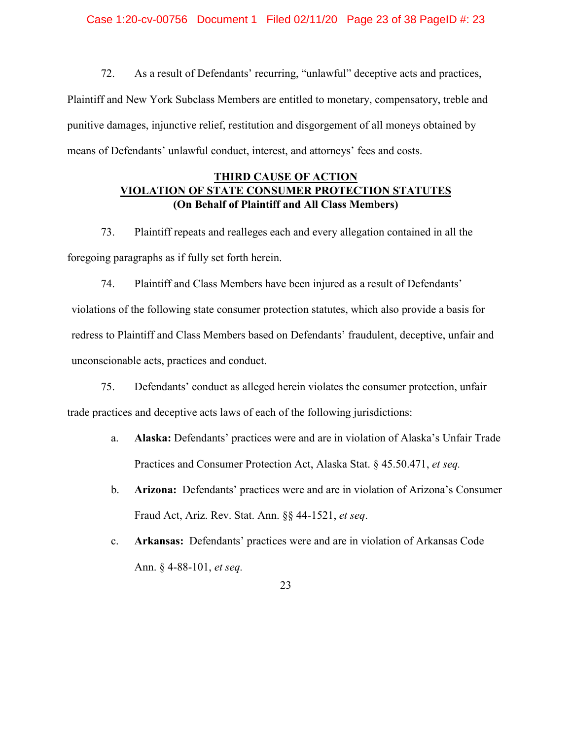Case 1:20-cv-00756 Document 1 Filed 02/11/20 Page 23 of 38 PageID #: 23

72. As a result of Defendants' recurring, "unlawful" deceptive acts and practices, Plaintiff and New York Subclass Members are entitled to monetary, compensatory, treble and punitive damages, injunctive relief, restitution and disgorgement of all moneys obtained by means of Defendants' unlawful conduct, interest, and attorneys' fees and costs.

## **THIRD CAUSE OF ACTION VIOLATION OF STATE CONSUMER PROTECTION STATUTES (On Behalf of Plaintiff and All Class Members)**

73. Plaintiff repeats and realleges each and every allegation contained in all the foregoing paragraphs as if fully set forth herein.

74. Plaintiff and Class Members have been injured as a result of Defendants' violations of the following state consumer protection statutes, which also provide a basis for redress to Plaintiff and Class Members based on Defendants' fraudulent, deceptive, unfair and unconscionable acts, practices and conduct.

75. Defendants' conduct as alleged herein violates the consumer protection, unfair trade practices and deceptive acts laws of each of the following jurisdictions:

- a. **Alaska:** Defendants' practices were and are in violation of Alaska's Unfair Trade Practices and Consumer Protection Act, Alaska Stat. § 45.50.471, *et seq.*
- b. **Arizona:** Defendants' practices were and are in violation of Arizona's Consumer Fraud Act, Ariz. Rev. Stat. Ann. §§ 44-1521, *et seq*.
- c. **Arkansas:** Defendants' practices were and are in violation of Arkansas Code Ann. § 4-88-101, *et seq.*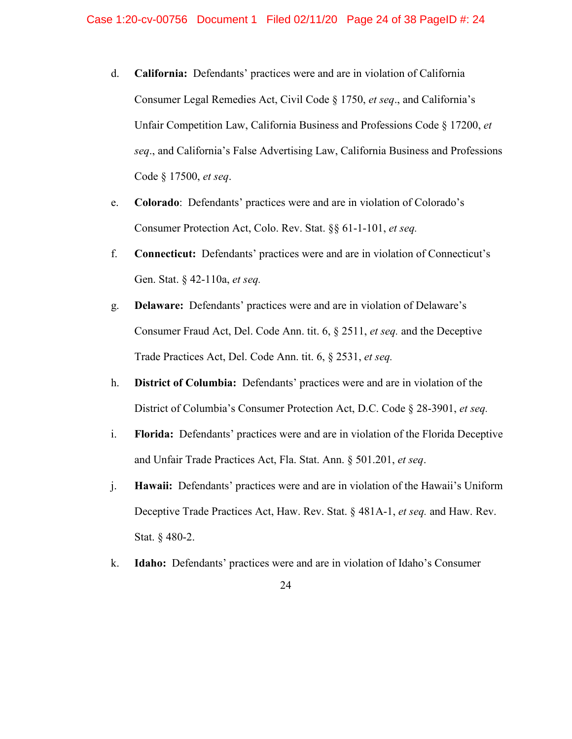- d. **California:** Defendants' practices were and are in violation of California Consumer Legal Remedies Act, Civil Code § 1750, *et seq*., and California's Unfair Competition Law, California Business and Professions Code § 17200, *et seq*., and California's False Advertising Law, California Business and Professions Code § 17500, *et seq*.
- e. **Colorado**: Defendants' practices were and are in violation of Colorado's Consumer Protection Act, Colo. Rev. Stat. §§ 61-1-101, *et seq.*
- f. **Connecticut:** Defendants' practices were and are in violation of Connecticut's Gen. Stat. § 42-110a, *et seq.*
- g. **Delaware:** Defendants' practices were and are in violation of Delaware's Consumer Fraud Act, Del. Code Ann. tit. 6, § 2511, *et seq.* and the Deceptive Trade Practices Act, Del. Code Ann. tit. 6, § 2531, *et seq.*
- h. **District of Columbia:** Defendants' practices were and are in violation of the District of Columbia's Consumer Protection Act, D.C. Code § 28-3901, *et seq.*
- i. **Florida:** Defendants' practices were and are in violation of the Florida Deceptive and Unfair Trade Practices Act, Fla. Stat. Ann. § 501.201, *et seq*.
- j. **Hawaii:** Defendants' practices were and are in violation of the Hawaii's Uniform Deceptive Trade Practices Act, Haw. Rev. Stat. § 481A-1, *et seq.* and Haw. Rev. Stat. § 480-2.
- k. **Idaho:** Defendants' practices were and are in violation of Idaho's Consumer
	- 24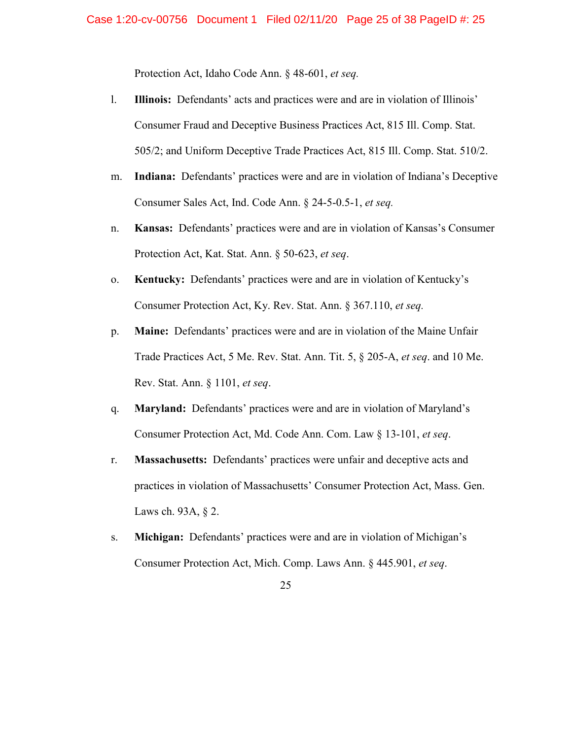Protection Act, Idaho Code Ann. § 48-601, *et seq.*

- l. **Illinois:** Defendants' acts and practices were and are in violation of Illinois' Consumer Fraud and Deceptive Business Practices Act, 815 Ill. Comp. Stat. 505/2; and Uniform Deceptive Trade Practices Act, 815 Ill. Comp. Stat. 510/2.
- m. **Indiana:** Defendants' practices were and are in violation of Indiana's Deceptive Consumer Sales Act, Ind. Code Ann. § 24-5-0.5-1, *et seq.*
- n. **Kansas:** Defendants' practices were and are in violation of Kansas's Consumer Protection Act, Kat. Stat. Ann. § 50-623, *et seq*.
- o. **Kentucky:** Defendants' practices were and are in violation of Kentucky's Consumer Protection Act, Ky. Rev. Stat. Ann. § 367.110, *et seq.*
- p. **Maine:** Defendants' practices were and are in violation of the Maine Unfair Trade Practices Act, 5 Me. Rev. Stat. Ann. Tit. 5, § 205-A, *et seq*. and 10 Me. Rev. Stat. Ann. § 1101, *et seq*.
- q. **Maryland:** Defendants' practices were and are in violation of Maryland's Consumer Protection Act, Md. Code Ann. Com. Law § 13-101, *et seq*.
- r. **Massachusetts:** Defendants' practices were unfair and deceptive acts and practices in violation of Massachusetts' Consumer Protection Act, Mass. Gen. Laws ch. 93A, § 2.
- s. **Michigan:** Defendants' practices were and are in violation of Michigan's Consumer Protection Act, Mich. Comp. Laws Ann. § 445.901, *et seq*.

<sup>25</sup>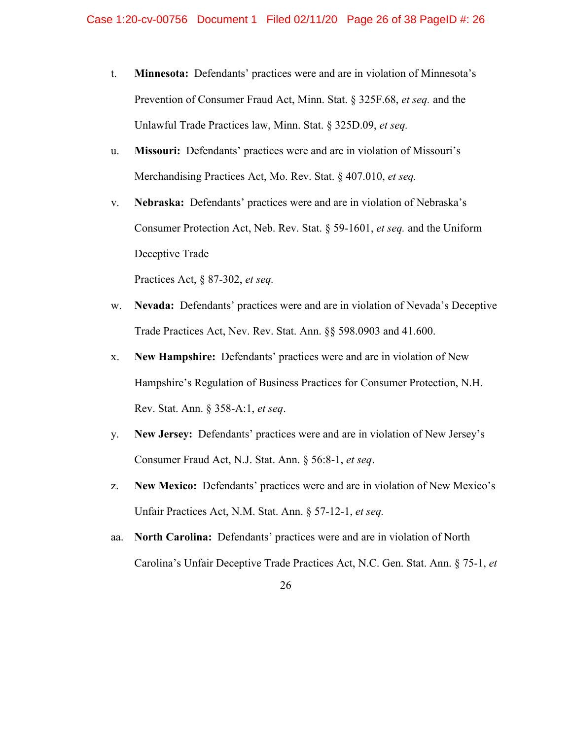- t. **Minnesota:** Defendants' practices were and are in violation of Minnesota's Prevention of Consumer Fraud Act, Minn. Stat. § 325F.68, *et seq.* and the Unlawful Trade Practices law, Minn. Stat. § 325D.09, *et seq.*
- u. **Missouri:** Defendants' practices were and are in violation of Missouri's Merchandising Practices Act, Mo. Rev. Stat. § 407.010, *et seq.*
- v. **Nebraska:** Defendants' practices were and are in violation of Nebraska's Consumer Protection Act, Neb. Rev. Stat. § 59-1601, *et seq.* and the Uniform Deceptive Trade

Practices Act, § 87-302, *et seq.*

- w. **Nevada:** Defendants' practices were and are in violation of Nevada's Deceptive Trade Practices Act, Nev. Rev. Stat. Ann. §§ 598.0903 and 41.600.
- x. **New Hampshire:** Defendants' practices were and are in violation of New Hampshire's Regulation of Business Practices for Consumer Protection, N.H. Rev. Stat. Ann. § 358-A:1, *et seq*.
- y. **New Jersey:** Defendants' practices were and are in violation of New Jersey's Consumer Fraud Act, N.J. Stat. Ann. § 56:8-1, *et seq*.
- z. **New Mexico:** Defendants' practices were and are in violation of New Mexico's Unfair Practices Act, N.M. Stat. Ann. § 57-12-1, *et seq.*
- aa. **North Carolina:** Defendants' practices were and are in violation of North Carolina's Unfair Deceptive Trade Practices Act, N.C. Gen. Stat. Ann. § 75-1, *et*

<sup>26</sup>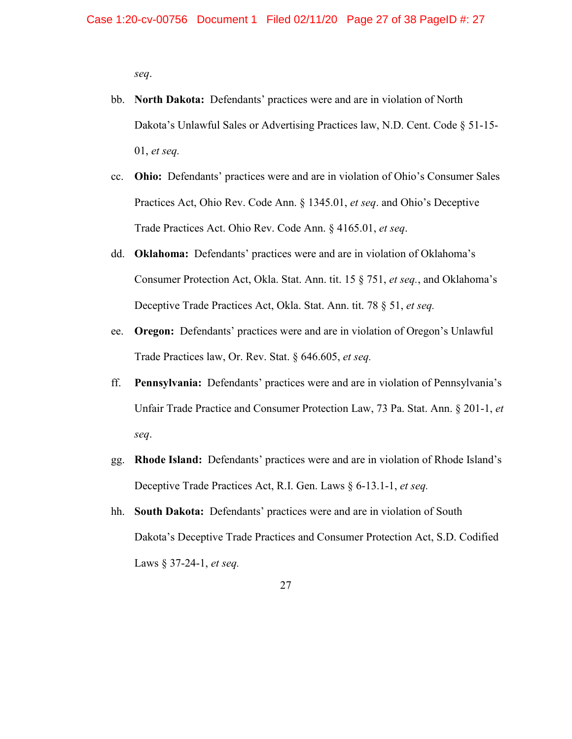*seq*.

- bb. **North Dakota:** Defendants' practices were and are in violation of North Dakota's Unlawful Sales or Advertising Practices law, N.D. Cent. Code § 51-15- 01, *et seq.*
- cc. **Ohio:** Defendants' practices were and are in violation of Ohio's Consumer Sales Practices Act, Ohio Rev. Code Ann. § 1345.01, *et seq*. and Ohio's Deceptive Trade Practices Act. Ohio Rev. Code Ann. § 4165.01, *et seq*.
- dd. **Oklahoma:** Defendants' practices were and are in violation of Oklahoma's Consumer Protection Act, Okla. Stat. Ann. tit. 15 § 751, *et seq.*, and Oklahoma's Deceptive Trade Practices Act, Okla. Stat. Ann. tit. 78 § 51, *et seq.*
- ee. **Oregon:** Defendants' practices were and are in violation of Oregon's Unlawful Trade Practices law, Or. Rev. Stat. § 646.605, *et seq.*
- ff. **Pennsylvania:** Defendants' practices were and are in violation of Pennsylvania's Unfair Trade Practice and Consumer Protection Law, 73 Pa. Stat. Ann. § 201-1, *et seq*.
- gg. **Rhode Island:** Defendants' practices were and are in violation of Rhode Island's Deceptive Trade Practices Act, R.I. Gen. Laws § 6-13.1-1, *et seq.*
- hh. **South Dakota:** Defendants' practices were and are in violation of South Dakota's Deceptive Trade Practices and Consumer Protection Act, S.D. Codified Laws § 37-24-1, *et seq.*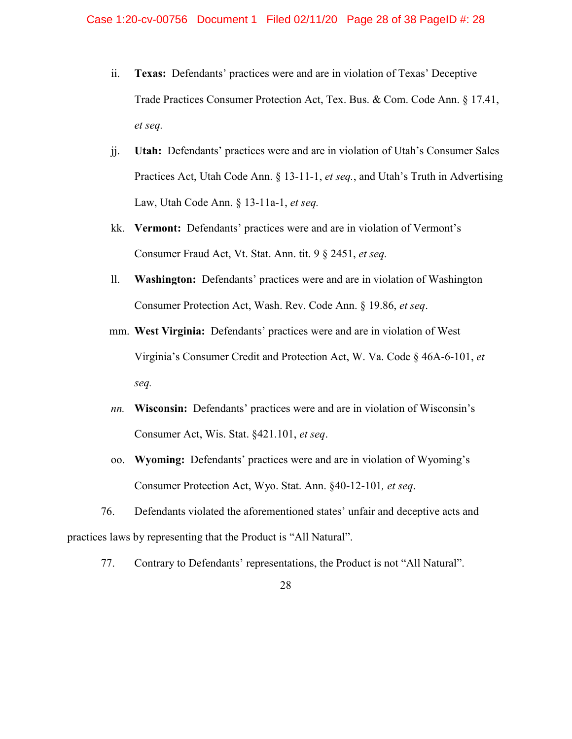- ii. **Texas:** Defendants' practices were and are in violation of Texas' Deceptive Trade Practices Consumer Protection Act, Tex. Bus. & Com. Code Ann. § 17.41, *et seq.*
- jj. **Utah:** Defendants' practices were and are in violation of Utah's Consumer Sales Practices Act, Utah Code Ann. § 13-11-1, *et seq.*, and Utah's Truth in Advertising Law, Utah Code Ann. § 13-11a-1, *et seq.*
- kk. **Vermont:** Defendants' practices were and are in violation of Vermont's Consumer Fraud Act, Vt. Stat. Ann. tit. 9 § 2451, *et seq.*
- ll. **Washington:** Defendants' practices were and are in violation of Washington Consumer Protection Act, Wash. Rev. Code Ann. § 19.86, *et seq*.
- mm. **West Virginia:** Defendants' practices were and are in violation of West Virginia's Consumer Credit and Protection Act, W. Va. Code § 46A-6-101, *et seq.*
- *nn.* **Wisconsin:** Defendants' practices were and are in violation of Wisconsin's Consumer Act, Wis. Stat. §421.101, *et seq*.
- oo. **Wyoming:** Defendants' practices were and are in violation of Wyoming's Consumer Protection Act, Wyo. Stat. Ann. §40-12-101*, et seq*.

76. Defendants violated the aforementioned states' unfair and deceptive acts and practices laws by representing that the Product is "All Natural".

77. Contrary to Defendants' representations, the Product is not "All Natural".

<sup>28</sup>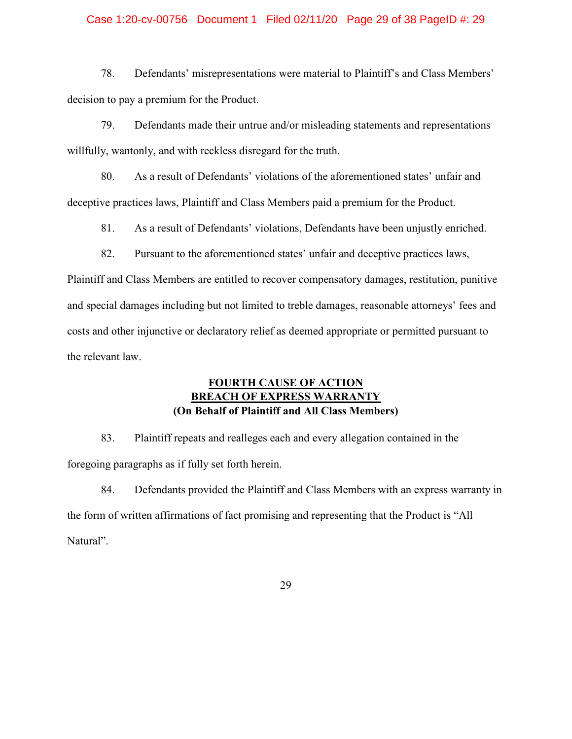## Case 1:20-cv-00756 Document 1 Filed 02/11/20 Page 29 of 38 PageID #: 29

78. Defendants' misrepresentations were material to Plaintiff's and Class Members' decision to pay a premium for the Product.

79. Defendants made their untrue and/or misleading statements and representations willfully, wantonly, and with reckless disregard for the truth.

80. As a result of Defendants' violations of the aforementioned states' unfair and deceptive practices laws, Plaintiff and Class Members paid a premium for the Product.

81. As a result of Defendants' violations, Defendants have been unjustly enriched.

82. Pursuant to the aforementioned states' unfair and deceptive practices laws,

Plaintiff and Class Members are entitled to recover compensatory damages, restitution, punitive and special damages including but not limited to treble damages, reasonable attorneys' fees and costs and other injunctive or declaratory relief as deemed appropriate or permitted pursuant to the relevant law.

## **FOURTH CAUSE OF ACTION BREACH OF EXPRESS WARRANTY (On Behalf of Plaintiff and All Class Members)**

83. Plaintiff repeats and realleges each and every allegation contained in the foregoing paragraphs as if fully set forth herein.

84. Defendants provided the Plaintiff and Class Members with an express warranty in the form of written affirmations of fact promising and representing that the Product is "All Natural".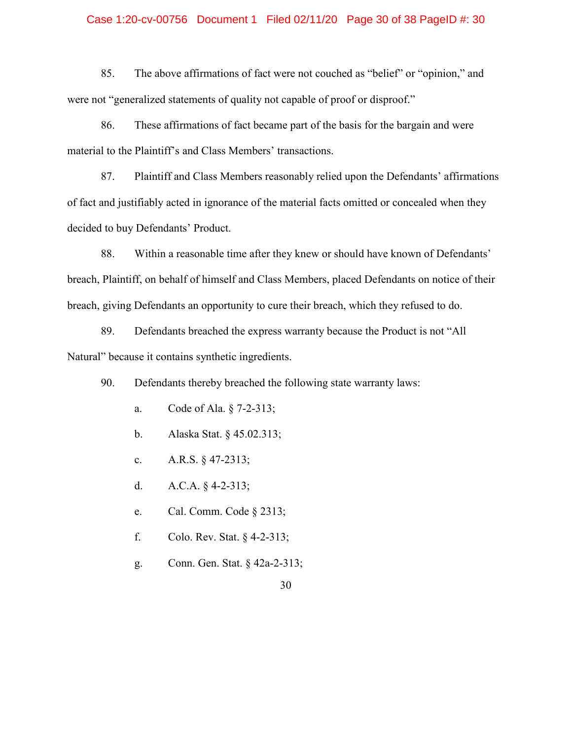## Case 1:20-cv-00756 Document 1 Filed 02/11/20 Page 30 of 38 PageID #: 30

85. The above affirmations of fact were not couched as "belief" or "opinion," and were not "generalized statements of quality not capable of proof or disproof."

86. These affirmations of fact became part of the basis for the bargain and were material to the Plaintiff's and Class Members' transactions.

87. Plaintiff and Class Members reasonably relied upon the Defendants' affirmations of fact and justifiably acted in ignorance of the material facts omitted or concealed when they decided to buy Defendants' Product.

88. Within a reasonable time after they knew or should have known of Defendants' breach, Plaintiff, on behalf of himself and Class Members, placed Defendants on notice of their breach, giving Defendants an opportunity to cure their breach, which they refused to do.

89. Defendants breached the express warranty because the Product is not "All Natural" because it contains synthetic ingredients.

90. Defendants thereby breached the following state warranty laws:

- a. Code of Ala. § 7-2-313;
- b. Alaska Stat. § 45.02.313;
- c. A.R.S. § 47-2313;
- d. A.C.A.  $§$  4-2-313;
- e. Cal. Comm. Code § 2313;
- f. Colo. Rev. Stat. § 4-2-313;
- g. Conn. Gen. Stat. § 42a-2-313;
	- 30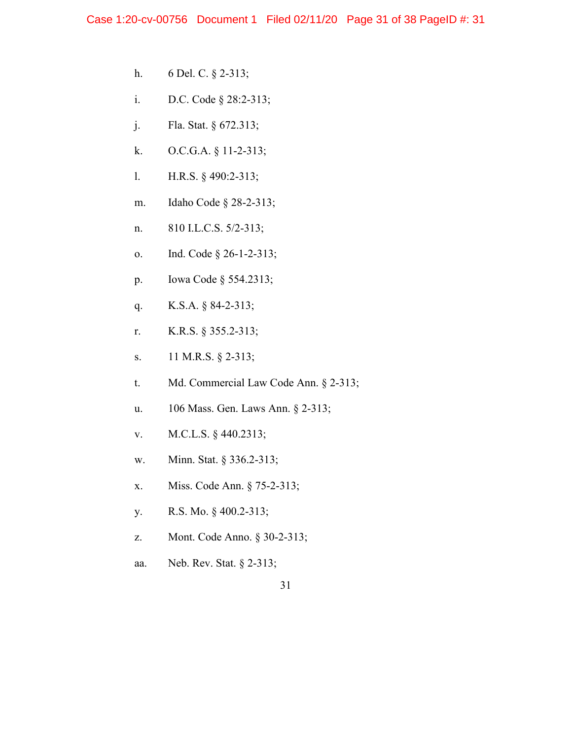- h. 6 Del. C. § 2-313;
- i. D.C. Code § 28:2-313;
- j. Fla. Stat. § 672.313;
- k. O.C.G.A. § 11-2-313;
- l. H.R.S. § 490:2-313;
- m. Idaho Code § 28-2-313;
- n. 810 I.L.C.S. 5/2-313;
- o. Ind. Code § 26-1-2-313;
- p. Iowa Code § 554.2313;
- q. K.S.A. § 84-2-313;
- r. K.R.S. § 355.2-313;
- s. 11 M.R.S. § 2-313;
- t. Md. Commercial Law Code Ann. § 2-313;
- u. 106 Mass. Gen. Laws Ann. § 2-313;
- v. M.C.L.S. § 440.2313;
- w. Minn. Stat. § 336.2-313;
- x. Miss. Code Ann. § 75-2-313;
- y. R.S. Mo. § 400.2-313;
- z. Mont. Code Anno. § 30-2-313;
- aa. Neb. Rev. Stat. § 2-313;
	- 31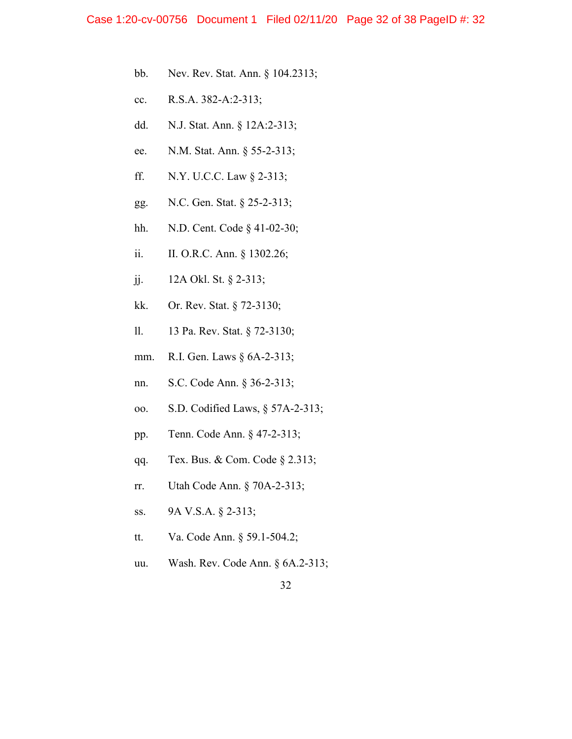- bb. Nev. Rev. Stat. Ann. § 104.2313;
- cc. R.S.A. 382-A:2-313;
- dd. N.J. Stat. Ann. § 12A:2-313;
- ee. N.M. Stat. Ann. § 55-2-313;
- ff. N.Y. U.C.C. Law § 2-313;
- gg. N.C. Gen. Stat. § 25-2-313;
- hh. N.D. Cent. Code § 41-02-30;
- ii. II. O.R.C. Ann. § 1302.26;
- jj. 12A Okl. St. § 2-313;
- kk. Or. Rev. Stat. § 72-3130;
- ll. 13 Pa. Rev. Stat. § 72-3130;
- mm. R.I. Gen. Laws § 6A-2-313;
- nn. S.C. Code Ann. § 36-2-313;
- oo. S.D. Codified Laws, § 57A-2-313;
- pp. Tenn. Code Ann. § 47-2-313;
- qq. Tex. Bus. & Com. Code § 2.313;
- rr. Utah Code Ann. § 70A-2-313;
- ss. 9A V.S.A. § 2-313;
- tt. Va. Code Ann. § 59.1-504.2;
- uu. Wash. Rev. Code Ann. § 6A.2-313;
	- 32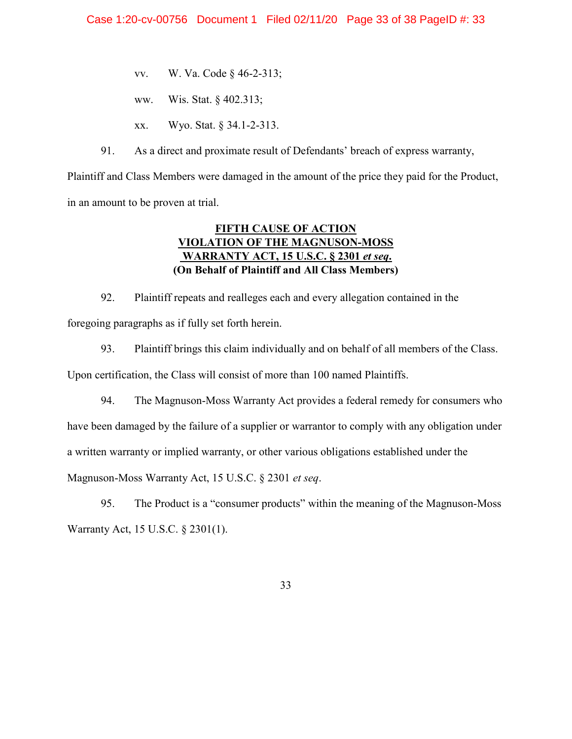- vv. W. Va. Code § 46-2-313;
- ww. Wis. Stat. § 402.313;
- xx. Wyo. Stat. § 34.1-2-313.
- 91. As a direct and proximate result of Defendants' breach of express warranty,

Plaintiff and Class Members were damaged in the amount of the price they paid for the Product, in an amount to be proven at trial.

## **FIFTH CAUSE OF ACTION VIOLATION OF THE MAGNUSON-MOSS WARRANTY ACT, 15 U.S.C. § 2301** *et seq***. (On Behalf of Plaintiff and All Class Members)**

92. Plaintiff repeats and realleges each and every allegation contained in the foregoing paragraphs as if fully set forth herein.

93. Plaintiff brings this claim individually and on behalf of all members of the Class. Upon certification, the Class will consist of more than 100 named Plaintiffs.

94. The Magnuson-Moss Warranty Act provides a federal remedy for consumers who have been damaged by the failure of a supplier or warrantor to comply with any obligation under a written warranty or implied warranty, or other various obligations established under the Magnuson-Moss Warranty Act, 15 U.S.C. § 2301 *et seq*.

95. The Product is a "consumer products" within the meaning of the Magnuson-Moss Warranty Act, 15 U.S.C. § 2301(1).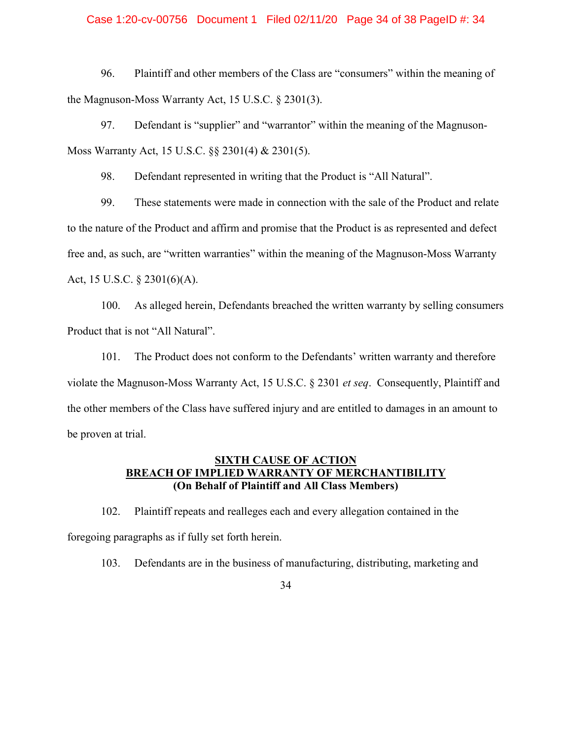## Case 1:20-cv-00756 Document 1 Filed 02/11/20 Page 34 of 38 PageID #: 34

96. Plaintiff and other members of the Class are "consumers" within the meaning of the Magnuson-Moss Warranty Act, 15 U.S.C. § 2301(3).

97. Defendant is "supplier" and "warrantor" within the meaning of the Magnuson-Moss Warranty Act, 15 U.S.C. §§ 2301(4) & 2301(5).

98. Defendant represented in writing that the Product is "All Natural".

99. These statements were made in connection with the sale of the Product and relate to the nature of the Product and affirm and promise that the Product is as represented and defect free and, as such, are "written warranties" within the meaning of the Magnuson-Moss Warranty Act, 15 U.S.C. § 2301(6)(A).

100. As alleged herein, Defendants breached the written warranty by selling consumers Product that is not "All Natural".

101. The Product does not conform to the Defendants' written warranty and therefore violate the Magnuson-Moss Warranty Act, 15 U.S.C. § 2301 *et seq*. Consequently, Plaintiff and the other members of the Class have suffered injury and are entitled to damages in an amount to be proven at trial.

## **SIXTH CAUSE OF ACTION BREACH OF IMPLIED WARRANTY OF MERCHANTIBILITY (On Behalf of Plaintiff and All Class Members)**

102. Plaintiff repeats and realleges each and every allegation contained in the foregoing paragraphs as if fully set forth herein.

103. Defendants are in the business of manufacturing, distributing, marketing and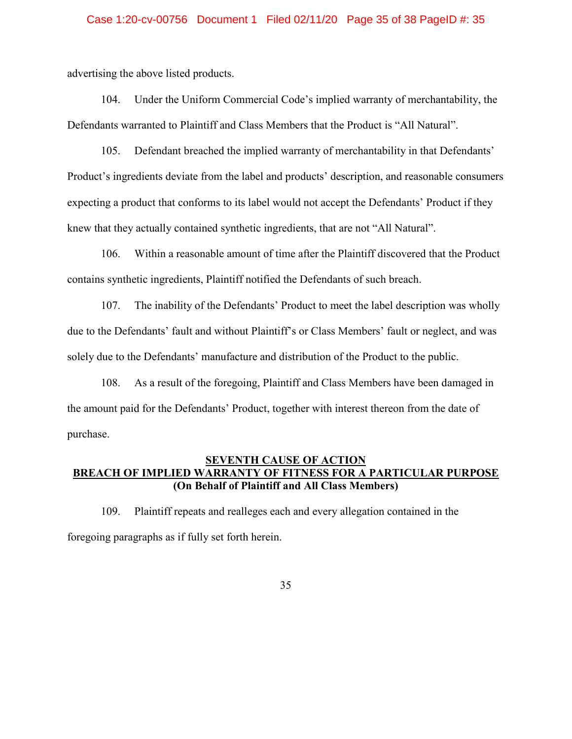## Case 1:20-cv-00756 Document 1 Filed 02/11/20 Page 35 of 38 PageID #: 35

advertising the above listed products.

104. Under the Uniform Commercial Code's implied warranty of merchantability, the Defendants warranted to Plaintiff and Class Members that the Product is "All Natural".

105. Defendant breached the implied warranty of merchantability in that Defendants' Product's ingredients deviate from the label and products' description, and reasonable consumers expecting a product that conforms to its label would not accept the Defendants' Product if they knew that they actually contained synthetic ingredients, that are not "All Natural".

106. Within a reasonable amount of time after the Plaintiff discovered that the Product contains synthetic ingredients, Plaintiff notified the Defendants of such breach.

107. The inability of the Defendants' Product to meet the label description was wholly due to the Defendants' fault and without Plaintiff's or Class Members' fault or neglect, and was solely due to the Defendants' manufacture and distribution of the Product to the public.

108. As a result of the foregoing, Plaintiff and Class Members have been damaged in the amount paid for the Defendants' Product, together with interest thereon from the date of purchase.

## **SEVENTH CAUSE OF ACTION BREACH OF IMPLIED WARRANTY OF FITNESS FOR A PARTICULAR PURPOSE (On Behalf of Plaintiff and All Class Members)**

109. Plaintiff repeats and realleges each and every allegation contained in the foregoing paragraphs as if fully set forth herein.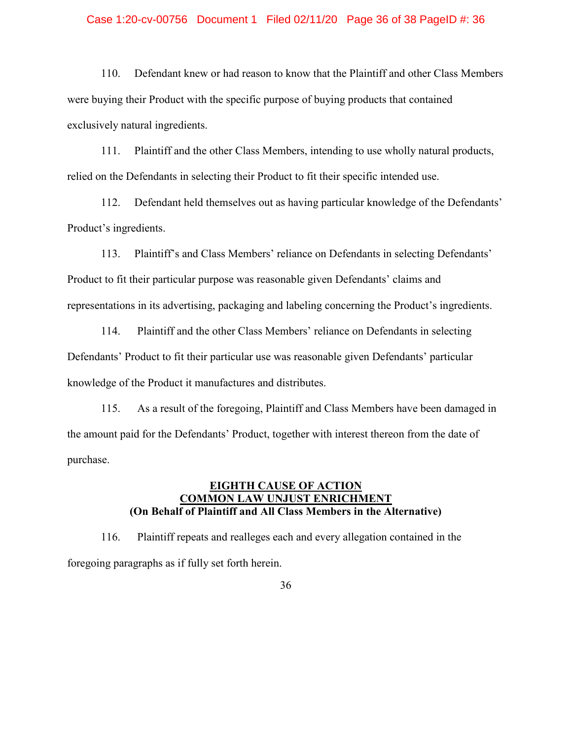## Case 1:20-cv-00756 Document 1 Filed 02/11/20 Page 36 of 38 PageID #: 36

110. Defendant knew or had reason to know that the Plaintiff and other Class Members were buying their Product with the specific purpose of buying products that contained exclusively natural ingredients.

111. Plaintiff and the other Class Members, intending to use wholly natural products, relied on the Defendants in selecting their Product to fit their specific intended use.

112. Defendant held themselves out as having particular knowledge of the Defendants' Product's ingredients.

113. Plaintiff's and Class Members' reliance on Defendants in selecting Defendants' Product to fit their particular purpose was reasonable given Defendants' claims and representations in its advertising, packaging and labeling concerning the Product's ingredients.

114. Plaintiff and the other Class Members' reliance on Defendants in selecting Defendants' Product to fit their particular use was reasonable given Defendants' particular knowledge of the Product it manufactures and distributes.

115. As a result of the foregoing, Plaintiff and Class Members have been damaged in the amount paid for the Defendants' Product, together with interest thereon from the date of purchase.

## **EIGHTH CAUSE OF ACTION COMMON LAW UNJUST ENRICHMENT (On Behalf of Plaintiff and All Class Members in the Alternative)**

116. Plaintiff repeats and realleges each and every allegation contained in the foregoing paragraphs as if fully set forth herein.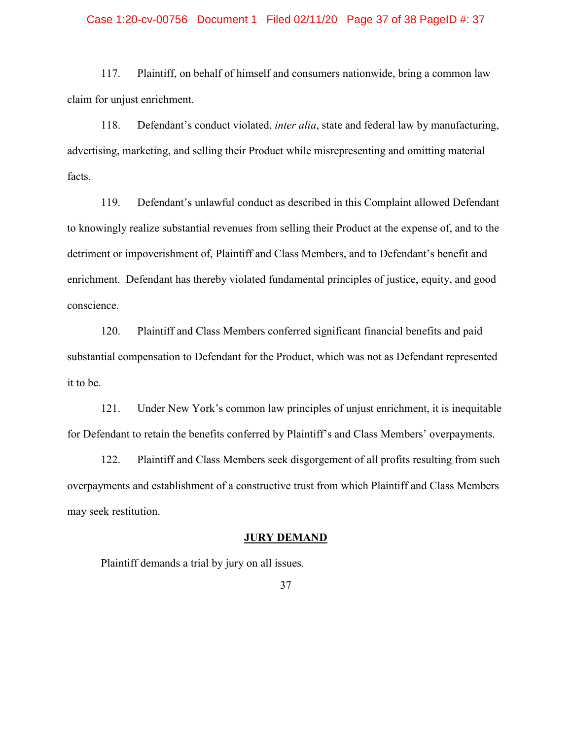## Case 1:20-cv-00756 Document 1 Filed 02/11/20 Page 37 of 38 PageID #: 37

117. Plaintiff, on behalf of himself and consumers nationwide, bring a common law claim for unjust enrichment.

118. Defendant's conduct violated, *inter alia*, state and federal law by manufacturing, advertising, marketing, and selling their Product while misrepresenting and omitting material facts.

119. Defendant's unlawful conduct as described in this Complaint allowed Defendant to knowingly realize substantial revenues from selling their Product at the expense of, and to the detriment or impoverishment of, Plaintiff and Class Members, and to Defendant's benefit and enrichment. Defendant has thereby violated fundamental principles of justice, equity, and good conscience.

120. Plaintiff and Class Members conferred significant financial benefits and paid substantial compensation to Defendant for the Product, which was not as Defendant represented it to be.

121. Under New York's common law principles of unjust enrichment, it is inequitable for Defendant to retain the benefits conferred by Plaintiff's and Class Members' overpayments.

122. Plaintiff and Class Members seek disgorgement of all profits resulting from such overpayments and establishment of a constructive trust from which Plaintiff and Class Members may seek restitution.

## **JURY DEMAND**

Plaintiff demands a trial by jury on all issues.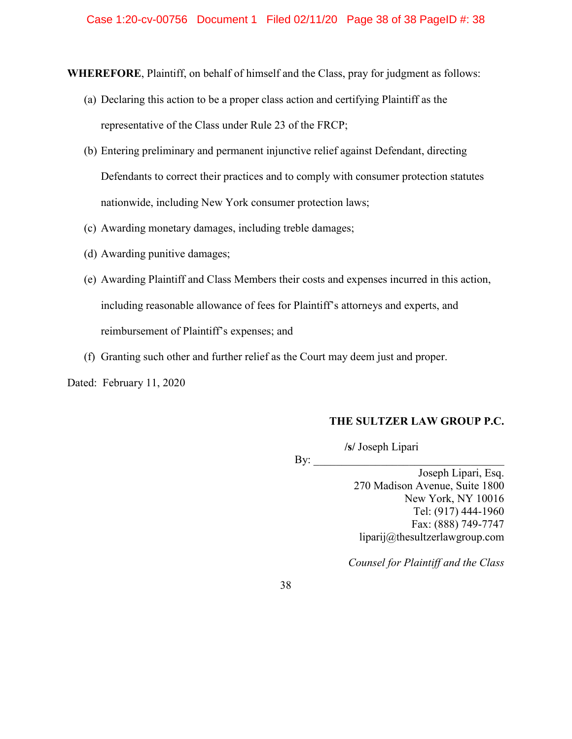**WHEREFORE**, Plaintiff, on behalf of himself and the Class, pray for judgment as follows:

- (a) Declaring this action to be a proper class action and certifying Plaintiff as the representative of the Class under Rule 23 of the FRCP;
- (b) Entering preliminary and permanent injunctive relief against Defendant, directing Defendants to correct their practices and to comply with consumer protection statutes nationwide, including New York consumer protection laws;
- (c) Awarding monetary damages, including treble damages;
- (d) Awarding punitive damages;
- (e) Awarding Plaintiff and Class Members their costs and expenses incurred in this action, including reasonable allowance of fees for Plaintiff's attorneys and experts, and reimbursement of Plaintiff's expenses; and
- (f) Granting such other and further relief as the Court may deem just and proper.

Dated: February 11, 2020

## **THE SULTZER LAW GROUP P.C.**

 **/s/** Joseph Lipari

 $\mathbf{By:}$ 

Joseph Lipari, Esq. 270 Madison Avenue, Suite 1800 New York, NY 10016 Tel: (917) 444-1960 Fax: (888) 749-7747 liparij@thesultzerlawgroup.com

*Counsel for Plaintiff and the Class*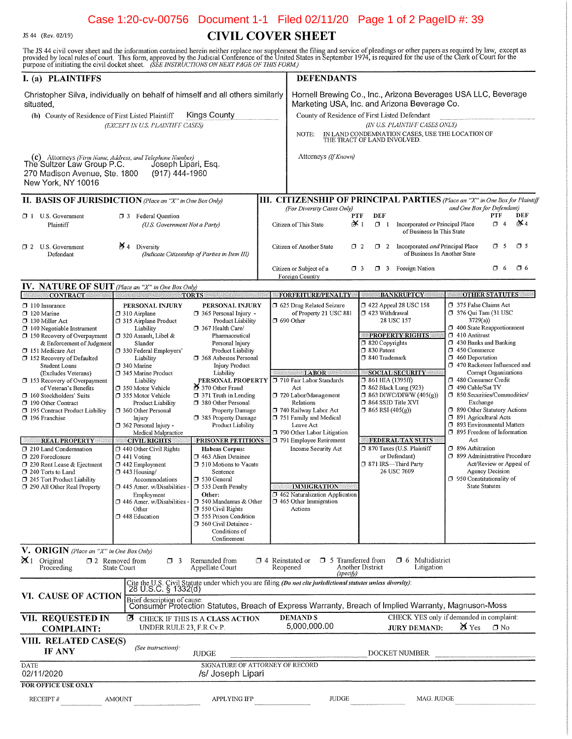## Case 1:20-cv-00756 Document 1-1 Filed 02/11/20 Page 1 of 2 PageID #: 39

JS 44 (Rev. 02/19)

# **CIVIL COVER SHEET**

The JS 44 civil cover sheet and the information contained herein neither replace nor supplement the filing and service of pleadings or other papers as required by law, except as provided by local rules of court. This form,

| I. (a) PLAINTIFFS                                                                                                                                                                                                                                                                                                                                                                                                                                                                                                                                                                                                                                  |                                                                                                                                                                                                                                                                                                                                                                                                                                                                                                                                                                                                                            |                                                                                                                                                                                                                                                                                                                                                                                                                                                                                                                                                                                                                                                                                         |  | <b>DEFENDANTS</b>                                                                                                                                                                                                                                                                                                                                                                                                                                    |                                                                                                                                                                                                                                                                                                                                                                                                                                                   |                                                                                                                                                                                                                                                                                                                                                                                                                                                                                                                                                                                                                                                                                           |
|----------------------------------------------------------------------------------------------------------------------------------------------------------------------------------------------------------------------------------------------------------------------------------------------------------------------------------------------------------------------------------------------------------------------------------------------------------------------------------------------------------------------------------------------------------------------------------------------------------------------------------------------------|----------------------------------------------------------------------------------------------------------------------------------------------------------------------------------------------------------------------------------------------------------------------------------------------------------------------------------------------------------------------------------------------------------------------------------------------------------------------------------------------------------------------------------------------------------------------------------------------------------------------------|-----------------------------------------------------------------------------------------------------------------------------------------------------------------------------------------------------------------------------------------------------------------------------------------------------------------------------------------------------------------------------------------------------------------------------------------------------------------------------------------------------------------------------------------------------------------------------------------------------------------------------------------------------------------------------------------|--|------------------------------------------------------------------------------------------------------------------------------------------------------------------------------------------------------------------------------------------------------------------------------------------------------------------------------------------------------------------------------------------------------------------------------------------------------|---------------------------------------------------------------------------------------------------------------------------------------------------------------------------------------------------------------------------------------------------------------------------------------------------------------------------------------------------------------------------------------------------------------------------------------------------|-------------------------------------------------------------------------------------------------------------------------------------------------------------------------------------------------------------------------------------------------------------------------------------------------------------------------------------------------------------------------------------------------------------------------------------------------------------------------------------------------------------------------------------------------------------------------------------------------------------------------------------------------------------------------------------------|
| Christopher Silva, individually on behalf of himself and all others similarly<br>situated.<br>Kings County<br>(b) County of Residence of First Listed Plaintiff<br>(EXCEPT IN U.S. PLAINTIFF CASES)                                                                                                                                                                                                                                                                                                                                                                                                                                                |                                                                                                                                                                                                                                                                                                                                                                                                                                                                                                                                                                                                                            |                                                                                                                                                                                                                                                                                                                                                                                                                                                                                                                                                                                                                                                                                         |  | Hornell Brewing Co., Inc., Arizona Beverages USA LLC, Beverage<br>Marketing USA, Inc. and Arizona Beverage Co.<br>County of Residence of First Listed Defendant<br>(IN U.S. PLAINTIFF CASES ONLY)<br>IN LAND CONDEMNATION CASES, USE THE LOCATION OF THE TRACT OF LAND INVOLVED.<br>NOTE:                                                                                                                                                            |                                                                                                                                                                                                                                                                                                                                                                                                                                                   |                                                                                                                                                                                                                                                                                                                                                                                                                                                                                                                                                                                                                                                                                           |
| (c) Attorneys (Firm Name, Address, and Telephone Number)<br>The Sultzer Law Group P.C. Joseph Lipa<br>270 Madison Avenue, Ste. 1800<br>New York, NY 10016                                                                                                                                                                                                                                                                                                                                                                                                                                                                                          | Joseph Lipari, Esq.<br>(917) 444-1960                                                                                                                                                                                                                                                                                                                                                                                                                                                                                                                                                                                      |                                                                                                                                                                                                                                                                                                                                                                                                                                                                                                                                                                                                                                                                                         |  | Attorneys (If Known)                                                                                                                                                                                                                                                                                                                                                                                                                                 |                                                                                                                                                                                                                                                                                                                                                                                                                                                   |                                                                                                                                                                                                                                                                                                                                                                                                                                                                                                                                                                                                                                                                                           |
| <b>II. BASIS OF JURISDICTION</b> (Place an "X" in One Box Only)                                                                                                                                                                                                                                                                                                                                                                                                                                                                                                                                                                                    |                                                                                                                                                                                                                                                                                                                                                                                                                                                                                                                                                                                                                            |                                                                                                                                                                                                                                                                                                                                                                                                                                                                                                                                                                                                                                                                                         |  |                                                                                                                                                                                                                                                                                                                                                                                                                                                      |                                                                                                                                                                                                                                                                                                                                                                                                                                                   | <b>III. CITIZENSHIP OF PRINCIPAL PARTIES</b> (Place an "X" in One Box for Plaintiff                                                                                                                                                                                                                                                                                                                                                                                                                                                                                                                                                                                                       |
| <b>D</b> 1 U.S. Government<br>Plaintiff                                                                                                                                                                                                                                                                                                                                                                                                                                                                                                                                                                                                            | <b>3</b> Federal Question<br>(U.S. Government Not a Party)                                                                                                                                                                                                                                                                                                                                                                                                                                                                                                                                                                 |                                                                                                                                                                                                                                                                                                                                                                                                                                                                                                                                                                                                                                                                                         |  | (For Diversity Cases Only)<br>Citizen of This State                                                                                                                                                                                                                                                                                                                                                                                                  | DEF<br>PTF<br>$\chi_1$<br>$\Box$ I Incorporated or Principal Place<br>of Business In This State                                                                                                                                                                                                                                                                                                                                                   | and One Box for Defendant)<br>PTF<br>DEF<br>iX 4<br>$\Box$ 4                                                                                                                                                                                                                                                                                                                                                                                                                                                                                                                                                                                                                              |
| $\Box$ 2 U.S. Government<br>Defendant                                                                                                                                                                                                                                                                                                                                                                                                                                                                                                                                                                                                              | Y 4<br>Diversity                                                                                                                                                                                                                                                                                                                                                                                                                                                                                                                                                                                                           | (Indicate Citizenship of Parties in Item III)                                                                                                                                                                                                                                                                                                                                                                                                                                                                                                                                                                                                                                           |  | Citizen of Another State                                                                                                                                                                                                                                                                                                                                                                                                                             | 1 2 Incorporated and Principal Place<br>$\Box$ 2<br>of Business In Another State                                                                                                                                                                                                                                                                                                                                                                  | O 5<br>$\Box$ 5                                                                                                                                                                                                                                                                                                                                                                                                                                                                                                                                                                                                                                                                           |
|                                                                                                                                                                                                                                                                                                                                                                                                                                                                                                                                                                                                                                                    |                                                                                                                                                                                                                                                                                                                                                                                                                                                                                                                                                                                                                            |                                                                                                                                                                                                                                                                                                                                                                                                                                                                                                                                                                                                                                                                                         |  | Citizen or Subject of a<br>Foreign Country                                                                                                                                                                                                                                                                                                                                                                                                           | 7 3 Foreign Nation<br>$\Box$ 3                                                                                                                                                                                                                                                                                                                                                                                                                    | O 6<br>$\Box$ 6                                                                                                                                                                                                                                                                                                                                                                                                                                                                                                                                                                                                                                                                           |
| <b>IV. NATURE OF SUIT</b> (Place an "X" in One Box Only)                                                                                                                                                                                                                                                                                                                                                                                                                                                                                                                                                                                           |                                                                                                                                                                                                                                                                                                                                                                                                                                                                                                                                                                                                                            |                                                                                                                                                                                                                                                                                                                                                                                                                                                                                                                                                                                                                                                                                         |  |                                                                                                                                                                                                                                                                                                                                                                                                                                                      |                                                                                                                                                                                                                                                                                                                                                                                                                                                   |                                                                                                                                                                                                                                                                                                                                                                                                                                                                                                                                                                                                                                                                                           |
| <b>CONTRACT</b><br>$\Box$ 110 Insurance<br>$\Box$ 120 Marine<br>130 Miller Act<br>$\Box$ 140 Negotiable Instrument<br>150 Recovery of Overpayment<br>& Enforcement of Judgment<br>151 Medicare Act<br>152 Recovery of Defaulted<br><b>Student Loans</b><br>(Excludes Veterans)<br>□ 153 Recovery of Overpayment<br>of Veteran's Benefits<br>160 Stockholders' Suits<br>190 Other Contract<br>195 Contract Product Liability<br>196 Franchise<br><b>REAL PROPERTY</b><br>1 210 Land Condemnation<br>$\square$ 220 Foreclosure<br>7 230 Rent Lease & Ejectment<br>240 Torts to Land<br>□ 245 Tort Product Liability<br>7 290 All Other Real Property | PERSONAL INJURY<br>310 Airplane<br>315 Airplane Product<br>Liability<br>□ 320 Assault, Libel &<br>Slander<br>□ 330 Federal Employers'<br>Liability<br>$\square$ 340 Marine<br>345 Marine Product<br>Liability<br>□ 350 Motor Vehicle<br>□ 355 Motor Vehicle<br>Product Liability<br>360 Other Personal<br>Injury<br>362 Personal Injury -<br>Medical Malpractice<br><b>CIVIL RIGHTS</b><br>1 440 Other Civil Rights<br>$\Box$ 441 Voting<br>$\square$ 442 Employment<br>$\Box$ 443 Housing/<br>Accommodations<br>$\square$ 445 Amer. w/Disabilities<br>Employment<br>446 Amer. w/Disabilities -<br>Other<br>1448 Education | <b>TORTS</b><br>PERSONAL INJURY<br>365 Personal Injury -<br>Product Liability<br>367 Health Care/<br>Pharmaceutical<br>Personal Injury<br>Product Liability<br>368 Asbestos Personal<br><b>Injury Product</b><br>Liability<br>PERSONAL PROPERTY<br>⑦ 370 Other Fraud<br>$\Box$ 371 Truth in Lending<br>7 380 Other Personal<br>Property Damage<br>□ 385 Property Damage<br>Product Liability<br>PRISONER PETITIONS<br><b>Habeas Corpus:</b><br>7 463 Alien Detainee<br><b>J</b> 510 Motions to Vacate<br>Sentence<br>□ 530 General<br>535 Death Penalty<br>Other:<br>□ 540 Mandamus & Other<br>$\Box$ 550 Civil Rights<br>555 Prison Condition<br>560 Civil Detainee -<br>Conditions of |  | <b>FORFEITURE/PENALTY</b><br>□ 625 Drug Related Seizure<br>of Property 21 USC 881<br>$\Box$ 690 Other<br><b>LABOR</b><br>710 Fair Labor Standards<br>Act<br>720 Labor/Management<br>Relations<br>□ 740 Railway Labor Act<br>751 Family and Medical<br>Leave Act<br>790 Other Labor Litigation<br>791 Employee Retirement<br>Income Security Act<br><b>IMMIGRATION</b><br>1 462 Naturalization Application<br>$\Box$ 465 Other Immigration<br>Actions | <b>BANKRUPTCY</b><br>1422 Appeal 28 USC 158<br>□ 423 Withdrawal<br>28 USC 157<br><b>PROPERTY RIGHTS</b><br>320 Copyrights<br>$7830$ Patent<br>340 Trademark<br><b>SOCIAL SECURITY</b><br>□ 861 HIA (1395ff)<br><b>362 Black Lung (923)</b><br>$\Box$ 863 DIWC/DIWW (405(g))<br>$\square$ 864 SSID Title XVI<br>$\Box$ 865 RSI (405(g))<br>FEDERAL TAX SUITS<br>7 870 Taxes (U.S. Plaintiff<br>or Defendant)<br>371 IRS—Third Party<br>26 USC 7609 | <b>OTHER STATUTES</b><br>375 False Claims Act<br>$\Box$ 376 Qui Tam (31 USC<br>3729(a)<br>1 400 State Reapportionment<br>$\square$ 410 Antitrust<br>$\Box$ 430 Banks and Banking<br>$\Box$ 450 Commerce<br>460 Deportation<br>7 470 Racketeer Influenced and<br>Corrupt Organizations<br>1480 Consumer Credit<br>490 Cable/Sat TV<br>CJ 850 Securities/Commodities/<br>Exchange<br>□ 890 Other Statutory Actions<br>5 891 Agricultural Acts<br><b>J</b> 893 Environmental Matters<br>7 895 Freedom of Information<br>Act<br>1 896 Arbitration<br>7 899 Administrative Procedure<br>Act/Review or Appeal of<br>Agency Decision<br>$\Box$ 950 Constitutionality of<br><b>State Statutes</b> |
| V. ORIGIN (Place an "X" in One Box Only)<br>$\mathbf{X}$ 1 Original<br>Proceeding                                                                                                                                                                                                                                                                                                                                                                                                                                                                                                                                                                  | $\square$ 2 Removed from<br>$\Box$ 3<br>State Court                                                                                                                                                                                                                                                                                                                                                                                                                                                                                                                                                                        | Confinement<br>Remanded from<br>Appellate Court                                                                                                                                                                                                                                                                                                                                                                                                                                                                                                                                                                                                                                         |  | $\Box$ 4 Reinstated or $\Box$ 5 Transferred from<br>Reopened                                                                                                                                                                                                                                                                                                                                                                                         | $\Box$ 6 Multidistrict<br>Another District<br>Litigation                                                                                                                                                                                                                                                                                                                                                                                          |                                                                                                                                                                                                                                                                                                                                                                                                                                                                                                                                                                                                                                                                                           |
| VI. CAUSE OF ACTION                                                                                                                                                                                                                                                                                                                                                                                                                                                                                                                                                                                                                                | Brief description of cause:                                                                                                                                                                                                                                                                                                                                                                                                                                                                                                                                                                                                |                                                                                                                                                                                                                                                                                                                                                                                                                                                                                                                                                                                                                                                                                         |  | (specify)<br>Cite the U.S. Civil Statute under which you are filing (Do not cite jurisdictional statutes unless diversity):<br>28 U.S.C. § 1332(d)                                                                                                                                                                                                                                                                                                   | Consumer Protection Statutes, Breach of Express Warranty, Breach of Implied Warranty, Magnuson-Moss                                                                                                                                                                                                                                                                                                                                               |                                                                                                                                                                                                                                                                                                                                                                                                                                                                                                                                                                                                                                                                                           |
| VII. REQUESTED IN<br><b>COMPLAINT:</b>                                                                                                                                                                                                                                                                                                                                                                                                                                                                                                                                                                                                             | ℧<br>UNDER RULE 23, F.R.Cv.P.                                                                                                                                                                                                                                                                                                                                                                                                                                                                                                                                                                                              | CHECK IF THIS IS A CLASS ACTION                                                                                                                                                                                                                                                                                                                                                                                                                                                                                                                                                                                                                                                         |  | <b>DEMANDS</b><br>5,000,000.00                                                                                                                                                                                                                                                                                                                                                                                                                       | <b>JURY DEMAND:</b>                                                                                                                                                                                                                                                                                                                                                                                                                               | CHECK YES only if demanded in complaint:<br>$\chi$ Yes<br>$\Box$ No                                                                                                                                                                                                                                                                                                                                                                                                                                                                                                                                                                                                                       |
| VIII. RELATED CASE(S)<br>IF ANY                                                                                                                                                                                                                                                                                                                                                                                                                                                                                                                                                                                                                    | (See instructions):                                                                                                                                                                                                                                                                                                                                                                                                                                                                                                                                                                                                        | <b>JUDGE</b>                                                                                                                                                                                                                                                                                                                                                                                                                                                                                                                                                                                                                                                                            |  |                                                                                                                                                                                                                                                                                                                                                                                                                                                      | DOCKET NUMBER                                                                                                                                                                                                                                                                                                                                                                                                                                     |                                                                                                                                                                                                                                                                                                                                                                                                                                                                                                                                                                                                                                                                                           |
| <b>DATE</b><br>02/11/2020                                                                                                                                                                                                                                                                                                                                                                                                                                                                                                                                                                                                                          |                                                                                                                                                                                                                                                                                                                                                                                                                                                                                                                                                                                                                            | SIGNATURE OF ATTORNEY OF RECORD<br>/s/ Joseph Lipari                                                                                                                                                                                                                                                                                                                                                                                                                                                                                                                                                                                                                                    |  |                                                                                                                                                                                                                                                                                                                                                                                                                                                      |                                                                                                                                                                                                                                                                                                                                                                                                                                                   |                                                                                                                                                                                                                                                                                                                                                                                                                                                                                                                                                                                                                                                                                           |
| <b>FOR OFFICE USE ONLY</b><br><b>RECEIPT#</b>                                                                                                                                                                                                                                                                                                                                                                                                                                                                                                                                                                                                      | <b>AMOUNT</b>                                                                                                                                                                                                                                                                                                                                                                                                                                                                                                                                                                                                              | APPLYING IFP                                                                                                                                                                                                                                                                                                                                                                                                                                                                                                                                                                                                                                                                            |  | <b>JUDGE</b>                                                                                                                                                                                                                                                                                                                                                                                                                                         | MAG. JUDGE                                                                                                                                                                                                                                                                                                                                                                                                                                        |                                                                                                                                                                                                                                                                                                                                                                                                                                                                                                                                                                                                                                                                                           |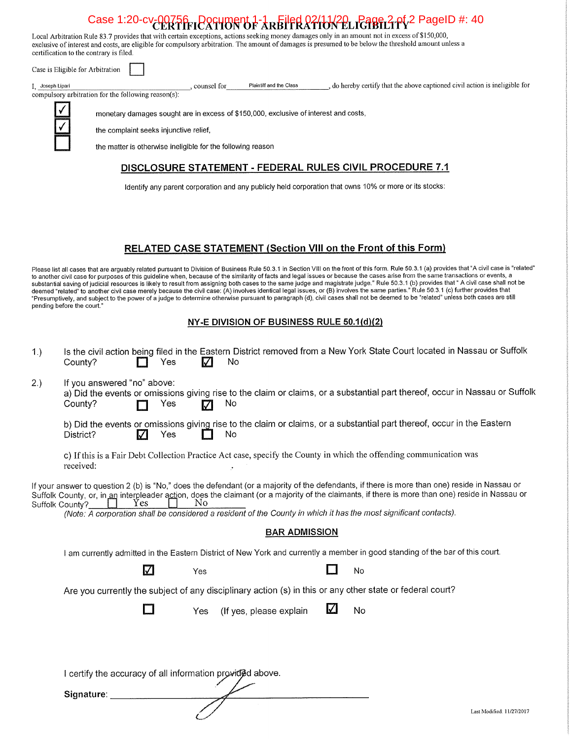# Case 1:20-cv-00756 Document 1-1 Filed 02/11/20 Page 2 of 2 PageID #: 40

Plaintiff and the Class

, do hereby certify that the above captioned civil action is ineligible for

Local Arbitration Rule 83.7 provides that with certain exceptions, actions seeking money damages only in an amount not in excess of \$150,000, exclusive of interest and costs, are eligible for compulsory arbitration. The amount of damages is presumed to be below the threshold amount unless a certification to the contrary is filed.

Case is Eligible for Arbitration

I, Joseph Lipari

compulsory arbitration for the following reason(s):

monetary damages sought are in excess of \$150,000, exclusive of interest and costs,

counsel for

the complaint seeks injunctive relief,

the matter is otherwise ineligible for the following reason

## DISCLOSURE STATEMENT - FEDERAL RULES CIVIL PROCEDURE 7.1

Identify any parent corporation and any publicly held corporation that owns 10% or more or its stocks:

## RELATED CASE STATEMENT (Section VIII on the Front of this Form)

Please list all cases that are arguably related pursuant to Division of Business Rule 50.3.1 in Section VIII on the front of this form. Rule 50.3.1 (a) provides that "A civil case is "related" to another civil case for purposes of this guideline when, because of the similarity of facts and legal issues or because the cases arise from the same transactions or events, a substantial saving of judicial resources is likely to result from assigning both cases to the same judge and magistrate judge." Rule 50.3.1 (b) provides that " A civil case shall not be deemed "related" to another civil case merely because the civil case: (A) involves identical legal issues, or (B) involves the same parties." Rule 50.3.1 (c) further provides that "Presumptively, and subject to the power of a judge to determine otherwise pursuant to paragraph (d), civil cases shall not be deemed to be "related" unless both cases are still pending before the court.'

## NY-E DIVISION OF BUSINESS RULE 50.1(d)(2)

| 1.)             | Is the civil action being filed in the Eastern District removed from a New York State Court located in Nassau or Suffolk<br>No<br>Yes<br>County?<br>M                                                                                                                                                                                                                                                                               |  |  |  |  |  |  |  |  |
|-----------------|-------------------------------------------------------------------------------------------------------------------------------------------------------------------------------------------------------------------------------------------------------------------------------------------------------------------------------------------------------------------------------------------------------------------------------------|--|--|--|--|--|--|--|--|
| 2.)             | If you answered "no" above:<br>a) Did the events or omissions giving rise to the claim or claims, or a substantial part thereof, occur in Nassau or Suffolk<br>No<br>County?<br>Yes                                                                                                                                                                                                                                                 |  |  |  |  |  |  |  |  |
|                 | b) Did the events or omissions giving rise to the claim or claims, or a substantial part thereof, occur in the Eastern<br>No<br>Yes<br>District?<br>V                                                                                                                                                                                                                                                                               |  |  |  |  |  |  |  |  |
|                 | c) If this is a Fair Debt Collection Practice Act case, specify the County in which the offending communication was<br>received:                                                                                                                                                                                                                                                                                                    |  |  |  |  |  |  |  |  |
| Suffolk County? | If your answer to question 2 (b) is "No," does the defendant (or a majority of the defendants, if there is more than one) reside in Nassau or<br>Suffolk County, or, in an interpleader action, does the claimant (or a majority of the claimants, if there is more than one) reside in Nassau or<br>No<br>Yes<br>(Note: A corporation shall be considered a resident of the County in which it has the most significant contacts). |  |  |  |  |  |  |  |  |
|                 | <b>BAR ADMISSION</b>                                                                                                                                                                                                                                                                                                                                                                                                                |  |  |  |  |  |  |  |  |
|                 | I am currently admitted in the Eastern District of New York and currently a member in good standing of the bar of this court.                                                                                                                                                                                                                                                                                                       |  |  |  |  |  |  |  |  |
|                 | <b>M</b><br>No<br>Yes                                                                                                                                                                                                                                                                                                                                                                                                               |  |  |  |  |  |  |  |  |
|                 | Are you currently the subject of any disciplinary action (s) in this or any other state or federal court?                                                                                                                                                                                                                                                                                                                           |  |  |  |  |  |  |  |  |
|                 | $\Delta$<br>No<br>(If yes, please explain<br>Yes                                                                                                                                                                                                                                                                                                                                                                                    |  |  |  |  |  |  |  |  |
|                 |                                                                                                                                                                                                                                                                                                                                                                                                                                     |  |  |  |  |  |  |  |  |
|                 | I certify the accuracy of all information provided above.                                                                                                                                                                                                                                                                                                                                                                           |  |  |  |  |  |  |  |  |
|                 | Signature:                                                                                                                                                                                                                                                                                                                                                                                                                          |  |  |  |  |  |  |  |  |
|                 | Last Modified: 11/27/2017                                                                                                                                                                                                                                                                                                                                                                                                           |  |  |  |  |  |  |  |  |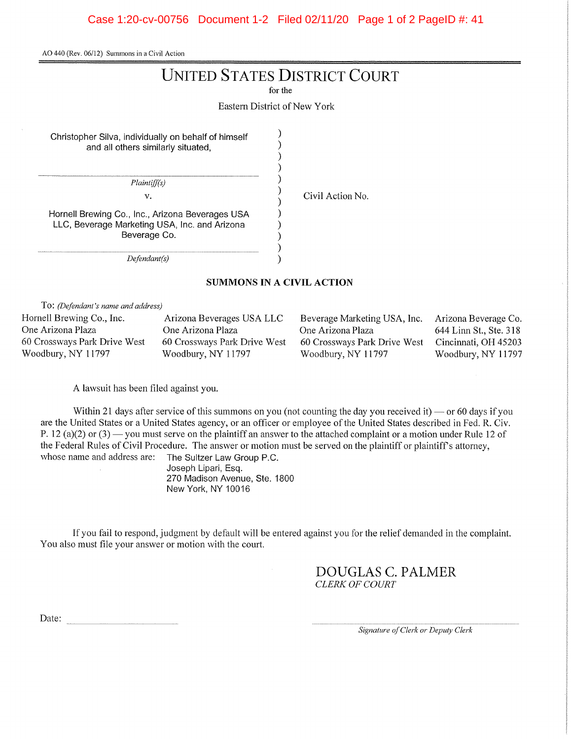Case 1:20-cv-00756 Document 1-2 Filed 02/11/20 Page 1 of 2 PageID #: 41

AO 440 (Rev. 06/12) Summons in a Civil Action

# **UNITED STATES DISTRICT COURT**

for the

**Eastern District of New York** 

 $\mathcal{E}$ 

 $\mathcal{E}$ 

 $\lambda$ 

 $\mathcal{E}$ 

 $\mathcal{E}$ 

Christopher Silva, individually on behalf of himself and all others similarly situated,

Plaintiff(s)

 $\mathbf{v}_*$ 

Civil Action No.

Hornell Brewing Co., Inc., Arizona Beverages USA LLC, Beverage Marketing USA, Inc. and Arizona Beverage Co.

 $Defendant(s)$ 

## **SUMMONS IN A CIVIL ACTION**

)  $\mathcal{E}$ 

 $\lambda$ 

To: (Defendant's name and address)

Hornell Brewing Co., Inc. One Arizona Plaza 60 Crossways Park Drive West Woodbury, NY 11797

Arizona Beverages USA LLC One Arizona Plaza 60 Crossways Park Drive West Woodbury, NY 11797

Beverage Marketing USA, Inc. One Arizona Plaza 60 Crossways Park Drive West Woodbury, NY 11797

Arizona Beverage Co. 644 Linn St., Ste. 318 Cincinnati, OH 45203 Woodbury, NY 11797

A lawsuit has been filed against you.

Within 21 days after service of this summons on you (not counting the day you received it) — or 60 days if you are the United States or a United States agency, or an officer or employee of the United States described in Fed. R. Civ. P. 12 (a)(2) or (3) — you must serve on the plaintiff an answer to the attached complaint or a motion under Rule 12 of the Federal Rules of Civil Procedure. The answer or motion must be served on the plaintiff or plaintiff's attorney, whose name and address are:

The Sultzer Law Group P.C. Joseph Lipari, Esq. 270 Madison Avenue, Ste. 1800 New York, NY 10016

If you fail to respond, judgment by default will be entered against you for the relief demanded in the complaint. You also must file your answer or motion with the court.

> DOUGLAS C. PALMER **CLERK OF COURT**

Date:

Signature of Clerk or Deputy Clerk